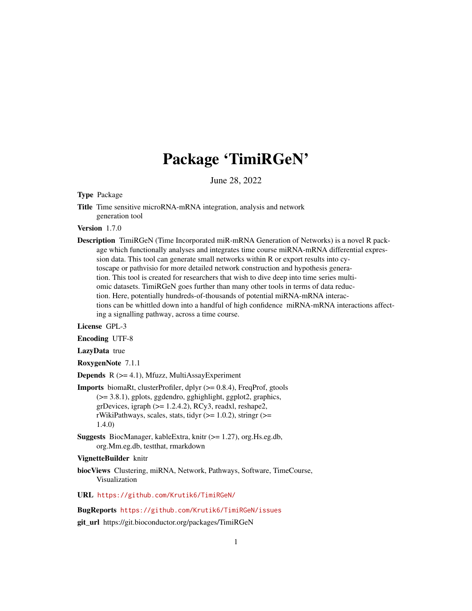# Package 'TimiRGeN'

June 28, 2022

#### Type Package

Title Time sensitive microRNA-mRNA integration, analysis and network generation tool

#### Version 1.7.0

Description TimiRGeN (Time Incorporated miR-mRNA Generation of Networks) is a novel R package which functionally analyses and integrates time course miRNA-mRNA differential expression data. This tool can generate small networks within R or export results into cytoscape or pathvisio for more detailed network construction and hypothesis generation. This tool is created for researchers that wish to dive deep into time series multiomic datasets. TimiRGeN goes further than many other tools in terms of data reduction. Here, potentially hundreds-of-thousands of potential miRNA-mRNA interactions can be whittled down into a handful of high confidence miRNA-mRNA interactions affecting a signalling pathway, across a time course.

#### License GPL-3

Encoding UTF-8

#### LazyData true

#### RoxygenNote 7.1.1

**Depends**  $R$  ( $>= 4.1$ ), Mfuzz, MultiAssayExperiment

- **Imports** biomaRt, clusterProfiler, dplyr  $(>= 0.8.4)$ , FreqProf, gtools (>= 3.8.1), gplots, ggdendro, gghighlight, ggplot2, graphics, grDevices, igraph  $(>= 1.2.4.2)$ , RCy3, readxl, reshape2, rWikiPathways, scales, stats, tidyr  $(>= 1.0.2)$ , stringr  $(>=$ 1.4.0)
- Suggests BiocManager, kableExtra, knitr (>= 1.27), org.Hs.eg.db, org.Mm.eg.db, testthat, rmarkdown

#### VignetteBuilder knitr

- biocViews Clustering, miRNA, Network, Pathways, Software, TimeCourse, Visualization
- URL <https://github.com/Krutik6/TimiRGeN/>

#### BugReports <https://github.com/Krutik6/TimiRGeN/issues>

git\_url https://git.bioconductor.org/packages/TimiRGeN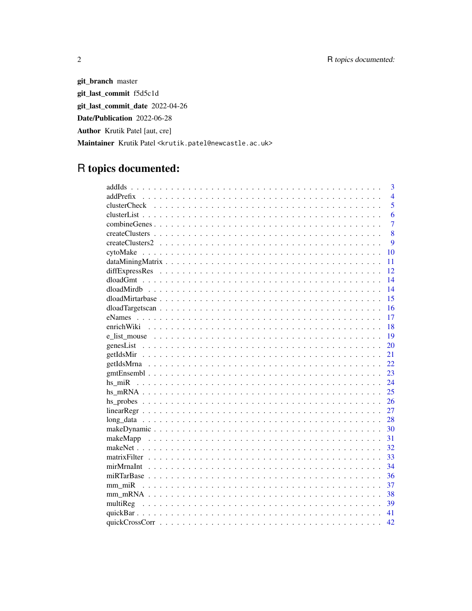git\_branch master git\_last\_commit f5d5c1d git\_last\_commit\_date 2022-04-26 Date/Publication 2022-06-28 Author Krutik Patel [aut, cre] Maintainer Krutik Patel <krutik.patel@newcastle.ac.uk>

## R topics documented:

|              | $\overline{3}$ |
|--------------|----------------|
|              | $\overline{4}$ |
| clusterCheck | 5              |
|              | 6              |
|              | $\overline{7}$ |
|              | 8              |
|              | 9              |
|              | 10             |
|              | 11             |
|              | 12             |
|              | 14             |
|              | 14             |
|              | 15             |
|              | 16             |
|              | 17             |
|              | 18             |
|              | 19             |
|              | 20             |
|              | 21             |
|              | 22.            |
|              | 23             |
|              | 24             |
|              | 25             |
|              | 26             |
|              | 27             |
|              | 28             |
|              | 30             |
|              | 31             |
|              | 32             |
|              | 33             |
|              | 34             |
|              | 36             |
|              | 37             |
|              | 38             |
|              | 39             |
|              | 41             |
|              | 42             |

 $\sqrt{2}$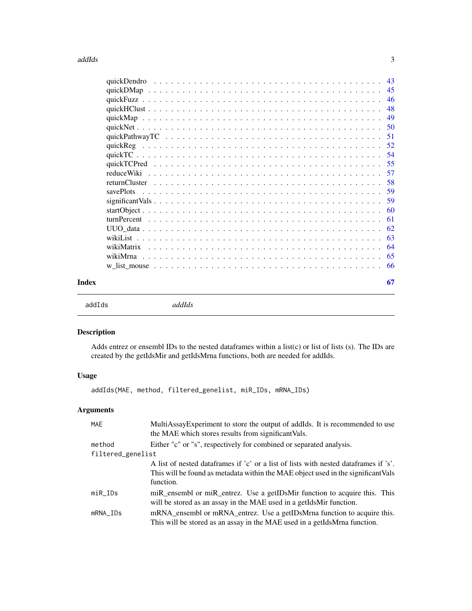#### <span id="page-2-0"></span>addIds 3

|       | savePlots |    |
|-------|-----------|----|
|       |           |    |
|       |           |    |
|       |           |    |
|       |           |    |
|       |           |    |
|       |           |    |
|       |           |    |
|       |           |    |
| Index |           | 67 |
|       |           |    |

addIds *addIds*

### Description

Adds entrez or ensembl IDs to the nested dataframes within a list(c) or list of lists (s). The IDs are created by the getIdsMir and getIdsMrna functions, both are needed for addIds.

#### Usage

```
addIds(MAE, method, filtered_genelist, miR_IDs, mRNA_IDs)
```
#### Arguments

| <b>MAE</b>        | MultiAssayExperiment to store the output of addIds. It is recommended to use<br>the MAE which stores results from significant Vals.                                                    |
|-------------------|----------------------------------------------------------------------------------------------------------------------------------------------------------------------------------------|
| method            | Either "c" or "s", respectively for combined or separated analysis.                                                                                                                    |
| filtered_genelist |                                                                                                                                                                                        |
|                   | A list of nested dataframes if 'c' or a list of lists with nested dataframes if 's'.<br>This will be found as metadata within the MAE object used in the significant Vals<br>function. |
| $miR_{I}$         | miR_ensembl or miR_entrez. Use a getIDsMir function to acquire this. This<br>will be stored as an assay in the MAE used in a getIdsMir function.                                       |
| mRNA_IDs          | mRNA_ensembl or mRNA_entrez. Use a getIDsMrna function to acquire this.<br>This will be stored as an assay in the MAE used in a getIdsMrna function.                                   |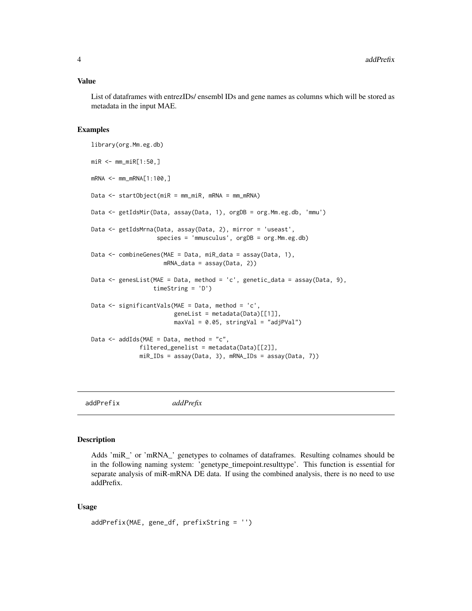#### <span id="page-3-0"></span>Value

List of dataframes with entrezIDs/ ensembl IDs and gene names as columns which will be stored as metadata in the input MAE.

#### Examples

```
library(org.Mm.eg.db)
miR <- mm_miR[1:50,]
mRNA < - mm_{m}RNA[1:100, ]Data <- startObject(miR = mm_miR, mRNA = mm_mRNA)
Data <- getIdsMir(Data, assay(Data, 1), orgDB = org.Mm.eg.db, 'mmu')
Data <- getIdsMrna(Data, assay(Data, 2), mirror = 'useast',
                   species = 'mmusculus', orgDB = org.Mm.eg.db)
Data <- combineGenes(MAE = Data, miR_data = assay(Data, 1),
                     mRNA_data = assay(Data, 2))
Data <- genesList(MAE = Data, method = 'c', genetic_data = assay(Data, 9),
                  timeString = 'D')
Data <- significantVals(MAE = Data, method = 'c',
                        geneList = metadata(Data)[[1]],
                        maxVal = 0.05, stringVal = "adjPVal")
Data \leq addIds(MAE = Data, method = "c",
              filtered_genelist = metadata(Data)[[2]],
              miR_IDs = assay(Data, 3), mRNA_IDs = assay(Data, 7))
```
addPrefix *addPrefix*

#### Description

Adds 'miR\_' or 'mRNA\_' genetypes to colnames of dataframes. Resulting colnames should be in the following naming system: 'genetype\_timepoint.resulttype'. This function is essential for separate analysis of miR-mRNA DE data. If using the combined analysis, there is no need to use addPrefix.

#### Usage

```
addPrefix(MAE, gene_df, prefixString = '')
```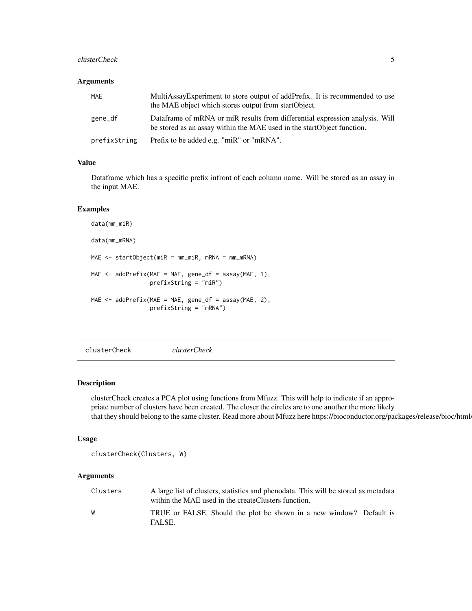#### <span id="page-4-0"></span>clusterCheck 5

#### Arguments

| MAE          | MultiAssayExperiment to store output of addPrefix. It is recommended to use<br>the MAE object which stores output from startObject.                     |
|--------------|---------------------------------------------------------------------------------------------------------------------------------------------------------|
| gene_df      | Dataframe of mRNA or miR results from differential expression analysis. Will<br>be stored as an assay within the MAE used in the start Object function. |
| prefixString | Prefix to be added e.g. "miR" or "mRNA".                                                                                                                |

#### Value

Dataframe which has a specific prefix infront of each column name. Will be stored as an assay in the input MAE.

#### Examples

```
data(mm_miR)
data(mm_mRNA)
MAE <- startObject(miR = mm_miR, mRNA = mm_mRNA)
MAE \leq addPrefix(MAE = MAE, gene_df = assay(MAE, 1),
                 prefixString = "miR")
MAE <- addPrefix(MAE = MAE, gene_df = assay(MAE, 2),
                 prefixString = "mRNA")
```
clusterCheck *clusterCheck*

#### Description

clusterCheck creates a PCA plot using functions from Mfuzz. This will help to indicate if an appropriate number of clusters have been created. The closer the circles are to one another the more likely that they should belong to the same cluster. Read more about Mfuzz here https://bioconductor.org/packages/release/bioc/html.

#### Usage

```
clusterCheck(Clusters, W)
```
#### Arguments

| Clusters | A large list of clusters, statistics and phenodata. This will be stored as metadata<br>within the MAE used in the createClusters function. |
|----------|--------------------------------------------------------------------------------------------------------------------------------------------|
| W        | TRUE or FALSE. Should the plot be shown in a new window? Default is<br>FALSE.                                                              |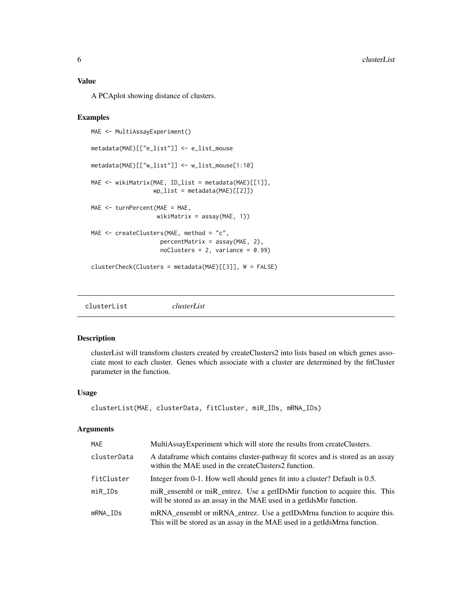#### <span id="page-5-0"></span>Value

A PCAplot showing distance of clusters.

#### Examples

```
MAE <- MultiAssayExperiment()
metadata(MAE)[["e_list"]] <- e_list_mouse
metadata(MAE)[["w_list"]] <- w_list_mouse[1:10]
MAE <- wikiMatrix(MAE, ID_list = metadata(MAE)[[1]],
                  wp_list = metadata(MAE)[[2]])
MAE <- turnPercent(MAE = MAE,
                   wikiMatrix = assay(MAE, 1)MAE <- createClusters(MAE, method = "c",
                    percentMatrix = assay(MAE, 2),
                    n oClusters = 2, variance = 0.99)clusterCheck(Clusters = metadata(MAE)[[3]], W = FALSE)
```
clusterList *clusterList*

#### Description

clusterList will transform clusters created by createClusters2 into lists based on which genes associate most to each cluster. Genes which associate with a cluster are determined by the fitCluster parameter in the function.

#### Usage

```
clusterList(MAE, clusterData, fitCluster, miR_IDs, mRNA_IDs)
```
#### Arguments

| MAE         | MultiAssayExperiment which will store the results from createClusters.                                                                               |
|-------------|------------------------------------------------------------------------------------------------------------------------------------------------------|
| clusterData | A data frame which contains cluster-pathway fit scores and is stored as an assay<br>within the MAE used in the createClusters2 function.             |
| fitCluster  | Integer from 0-1. How well should genes fit into a cluster? Default is 0.5.                                                                          |
| $miR_{I}$   | miR_ensembl or miR_entrez. Use a getIDsMir function to acquire this. This<br>will be stored as an assay in the MAE used in a getIdsMir function.     |
| mRNA IDs    | mRNA_ensembl or mRNA_entrez. Use a getIDsMrna function to acquire this.<br>This will be stored as an assay in the MAE used in a getIdsMrna function. |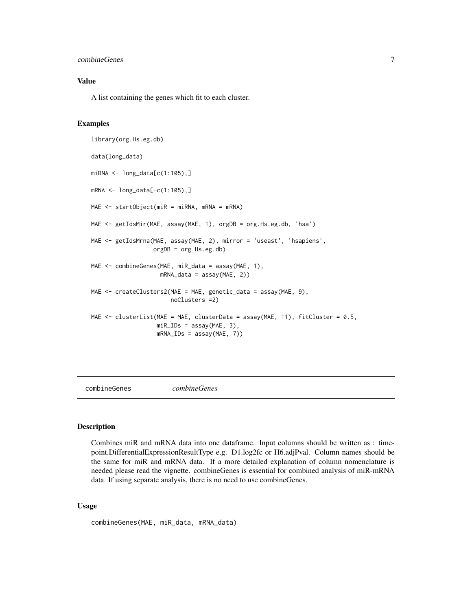#### <span id="page-6-0"></span>combineGenes 7

#### Value

A list containing the genes which fit to each cluster.

#### Examples

```
library(org.Hs.eg.db)
data(long_data)
miRNA <- long_data[c(1:105),]
mRNA <- long_data[-c(1:105),]
MAE <- startObject(miR = miRNA, mRNA = mRNA)
MAE <- getIdsMir(MAE, assay(MAE, 1), orgDB = org.Hs.eg.db, 'hsa')
MAE <- getIdsMrna(MAE, assay(MAE, 2), mirror = 'useast', 'hsapiens',
                  orgDB = org.Hs.eg.db)
MAE <- combineGenes(MAE, miR_data = assay(MAE, 1),
                    mRNA_data = assay(MAE, 2))
MAE <- createClusters2(MAE = MAE, genetic_data = assay(MAE, 9),
                       noClusters =2)
MAE <- clusterList(MAE = MAE, clusterData = assay(MAE, 11), fitCluster = 0.5,
                   miR_IDs = assay(MAE, 3),
                   mRNA_IDs = assay(MAE, 7))
```
combineGenes *combineGenes*

#### Description

Combines miR and mRNA data into one dataframe. Input columns should be written as : timepoint.DifferentialExpressionResultType e.g. D1.log2fc or H6.adjPval. Column names should be the same for miR and mRNA data. If a more detailed explanation of column nomenclature is needed please read the vignette. combineGenes is essential for combined analysis of miR-mRNA data. If using separate analysis, there is no need to use combineGenes.

#### Usage

```
combineGenes(MAE, miR_data, mRNA_data)
```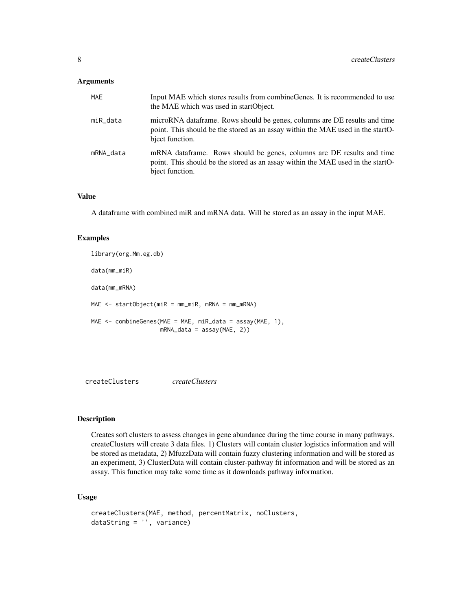#### <span id="page-7-0"></span>Arguments

| <b>MAE</b> | Input MAE which stores results from combine Genes. It is recommended to use<br>the MAE which was used in startObject.                                                            |
|------------|----------------------------------------------------------------------------------------------------------------------------------------------------------------------------------|
| miR_data   | microRNA data frame. Rows should be genes, columns are DE results and time<br>point. This should be the stored as an assay within the MAE used in the startO-<br>bject function. |
| mRNA_data  | mRNA dataframe. Rows should be genes, columns are DE results and time<br>point. This should be the stored as an assay within the MAE used in the startO-<br>bject function.      |

#### Value

A dataframe with combined miR and mRNA data. Will be stored as an assay in the input MAE.

#### Examples

```
library(org.Mm.eg.db)
data(mm_miR)
data(mm_mRNA)
MAE <- startObject(miR = mm_miR, mRNA = mm_mRNA)
MAE <- combineGenes(MAE = MAE, miR_data = assay(MAE, 1),
                    mRNA_data = assay(MAE, 2))
```
createClusters *createClusters*

#### Description

Creates soft clusters to assess changes in gene abundance during the time course in many pathways. createClusters will create 3 data files. 1) Clusters will contain cluster logistics information and will be stored as metadata, 2) MfuzzData will contain fuzzy clustering information and will be stored as an experiment, 3) ClusterData will contain cluster-pathway fit information and will be stored as an assay. This function may take some time as it downloads pathway information.

#### Usage

```
createClusters(MAE, method, percentMatrix, noClusters,
dataString = '', variance)
```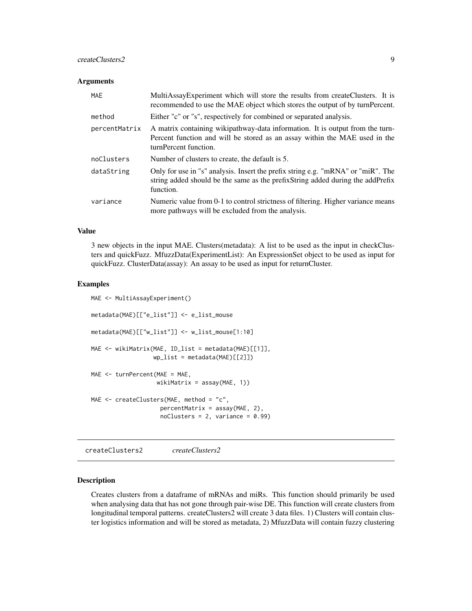#### <span id="page-8-0"></span>createClusters2 9

#### **Arguments**

| MAE           | MultiAssayExperiment which will store the results from createClusters. It is<br>recommended to use the MAE object which stores the output of by turnPercent.                         |
|---------------|--------------------------------------------------------------------------------------------------------------------------------------------------------------------------------------|
| method        | Either "c" or "s", respectively for combined or separated analysis.                                                                                                                  |
| percentMatrix | A matrix containing wikipathway-data information. It is output from the turn-<br>Percent function and will be stored as an assay within the MAE used in the<br>turnPercent function. |
| noClusters    | Number of clusters to create, the default is 5.                                                                                                                                      |
| dataString    | Only for use in "s" analysis. Insert the prefix string e.g. "mRNA" or "miR". The<br>string added should be the same as the prefix String added during the add Prefix<br>function.    |
| variance      | Numeric value from 0-1 to control strictness of filtering. Higher variance means<br>more pathways will be excluded from the analysis.                                                |

#### Value

3 new objects in the input MAE. Clusters(metadata): A list to be used as the input in checkClusters and quickFuzz. MfuzzData(ExperimentList): An ExpressionSet object to be used as input for quickFuzz. ClusterData(assay): An assay to be used as input for returnCluster.

#### Examples

```
MAE <- MultiAssayExperiment()
metadata(MAE)[["e_list"]] <- e_list_mouse
metadata(MAE)[["w_list"]] <- w_list_mouse[1:10]
MAE <- wikiMatrix(MAE, ID_list = metadata(MAE)[[1]],
                  wp\_list = metadata(MAE)[[2]])MAE <- turnPercent(MAE = MAE,
                   wikiMatrix = assay(MAE, 1))
MAE <- createClusters(MAE, method = "c",
                    percentMatrix = assay(MAE, 2),
                    n oClusters = 2, variance = 0.99)
```
createClusters2 *createClusters2*

#### Description

Creates clusters from a dataframe of mRNAs and miRs. This function should primarily be used when analysing data that has not gone through pair-wise DE. This function will create clusters from longitudinal temporal patterns. createClusters2 will create 3 data files. 1) Clusters will contain cluster logistics information and will be stored as metadata, 2) MfuzzData will contain fuzzy clustering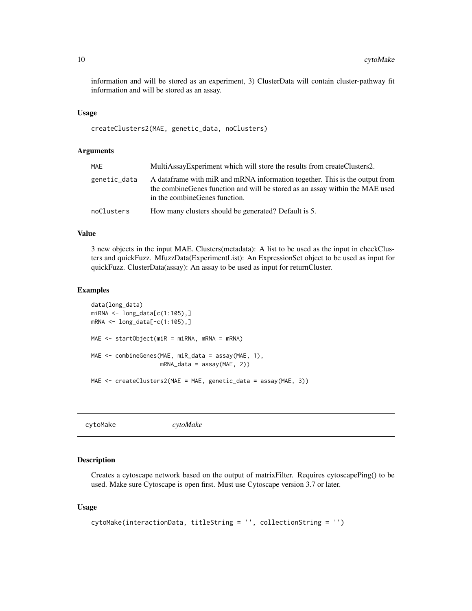<span id="page-9-0"></span>information and will be stored as an experiment, 3) ClusterData will contain cluster-pathway fit information and will be stored as an assay.

#### Usage

```
createClusters2(MAE, genetic_data, noClusters)
```
#### Arguments

| MAE          | MultiAssayExperiment which will store the results from createClusters2.                                                                                                                         |
|--------------|-------------------------------------------------------------------------------------------------------------------------------------------------------------------------------------------------|
| genetic_data | A data frame with miR and mRNA information together. This is the output from<br>the combine Genes function and will be stored as an assay within the MAE used<br>in the combine Genes function. |
| noClusters   | How many clusters should be generated? Default is 5.                                                                                                                                            |

#### Value

3 new objects in the input MAE. Clusters(metadata): A list to be used as the input in checkClusters and quickFuzz. MfuzzData(ExperimentList): An ExpressionSet object to be used as input for quickFuzz. ClusterData(assay): An assay to be used as input for returnCluster.

#### Examples

```
data(long_data)
miRNA <- long_data[c(1:105),]
mRNA <- long_data[-c(1:105),]
MAE <- startObject(miR = miRNA, mRNA = mRNA)
MAE <- combineGenes(MAE, miR_data = assay(MAE, 1),
                    mRNA_data = assay(MAE, 2))
MAE <- createClusters2(MAE = MAE, genetic_data = assay(MAE, 3))
```
cytoMake *cytoMake*

#### Description

Creates a cytoscape network based on the output of matrixFilter. Requires cytoscapePing() to be used. Make sure Cytoscape is open first. Must use Cytoscape version 3.7 or later.

#### Usage

```
cytoMake(interactionData, titleString = '', collectionString = '')
```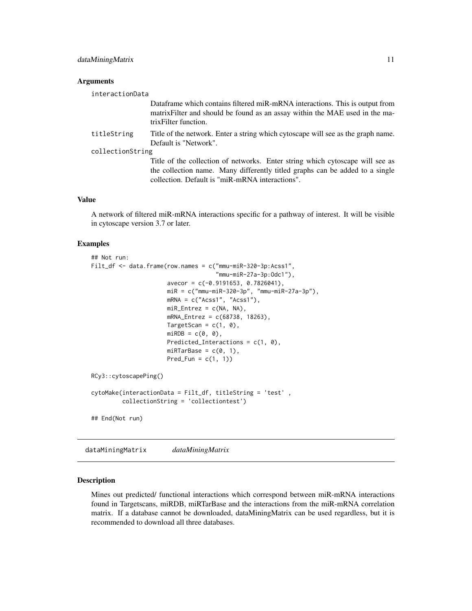#### <span id="page-10-0"></span>**Arguments**

| interactionData  |                                                                                                                                                                                                                  |  |
|------------------|------------------------------------------------------------------------------------------------------------------------------------------------------------------------------------------------------------------|--|
|                  | Dataframe which contains filtered miR-mRNA interactions. This is output from<br>matrix Filter and should be found as an assay within the MAE used in the ma-<br>trix Filter function.                            |  |
| titleString      | Title of the network. Enter a string which cytoscape will see as the graph name.<br>Default is "Network".                                                                                                        |  |
| collectionString |                                                                                                                                                                                                                  |  |
|                  | Title of the collection of networks. Enter string which cytoscape will see as<br>the collection name. Many differently titled graphs can be added to a single<br>collection. Default is "miR-mRNA interactions". |  |

#### Value

A network of filtered miR-mRNA interactions specific for a pathway of interest. It will be visible in cytoscape version 3.7 or later.

#### Examples

```
## Not run:
Filt_df <- data.frame(row.names = c("mmu-miR-320-3p:Acss1",
                                    "mmu-miR-27a-3p:Odc1"),
                      avecor = c(-0.9191653, 0.7826041),miR = c("mmu-miR-320-3p", "mmu-miR-27a-3p"),
                      mRNA = c("Acs1", "Acs1"),miR_Entrez = c(NA, NA),mRNA_Entrez = c(68738, 18263),
                      TargetScan = c(1, 0),
                      miRDB = c(0, 0),
                      Predicted_Interactions = c(1, 0),
                      miRTarBase = c(0, 1),Pred_Fun = c(1, 1))
RCy3::cytoscapePing()
cytoMake(interactionData = Filt_df, titleString = 'test' ,
         collectionString = 'collectiontest')
## End(Not run)
```
dataMiningMatrix *dataMiningMatrix*

#### Description

Mines out predicted/ functional interactions which correspond between miR-mRNA interactions found in Targetscans, miRDB, miRTarBase and the interactions from the miR-mRNA correlation matrix. If a database cannot be downloaded, dataMiningMatrix can be used regardless, but it is recommended to download all three databases.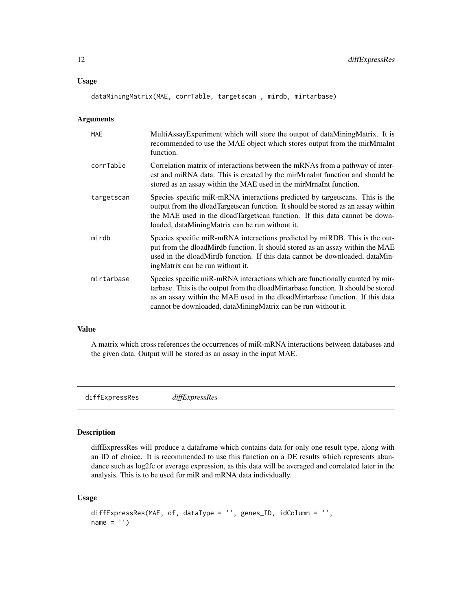#### <span id="page-11-0"></span>Usage

dataMiningMatrix(MAE, corrTable, targetscan , mirdb, mirtarbase)

#### Arguments

| <b>MAE</b> | MultiAssayExperiment which will store the output of dataMiningMatrix. It is<br>recommended to use the MAE object which stores output from the mirMrnaInt<br>function.                                                                                                                                                 |
|------------|-----------------------------------------------------------------------------------------------------------------------------------------------------------------------------------------------------------------------------------------------------------------------------------------------------------------------|
| corrTable  | Correlation matrix of interactions between the mRNAs from a pathway of inter-<br>est and miRNA data. This is created by the mirMrnaInt function and should be<br>stored as an assay within the MAE used in the mirMrnaInt function.                                                                                   |
| targetscan | Species specific miR-mRNA interactions predicted by targets cans. This is the<br>output from the dloadTargetscan function. It should be stored as an assay within<br>the MAE used in the dloadTargetscan function. If this data cannot be down-<br>loaded, dataMiningMatrix can be run without it.                    |
| mirdb      | Species specific miR-mRNA interactions predicted by miRDB. This is the out-<br>put from the dloadMirdb function. It should stored as an assay within the MAE<br>used in the dloadMirdb function. If this data cannot be downloaded, dataMin-<br>ing Matrix can be run without it.                                     |
| mirtarbase | Species specific miR-mRNA interactions which are functionally curated by mir-<br>tarbase. This is the output from the dloadMirtarbase function. It should be stored<br>as an assay within the MAE used in the dloadMirtarbase function. If this data<br>cannot be downloaded, dataMiningMatrix can be run without it. |

#### Value

A matrix which cross references the occurrences of miR-mRNA interactions between databases and the given data. Output will be stored as an assay in the input MAE.

diffExpressRes *diffExpressRes*

#### Description

diffExpressRes will produce a dataframe which contains data for only one result type, along with an ID of choice. It is recommended to use this function on a DE results which represents abundance such as log2fc or average expression, as this data will be averaged and correlated later in the analysis. This is to be used for miR and mRNA data individually.

#### Usage

```
diffExpressRes(MAE, df, dataType = '', genes_ID, idColumn = '',
name = '')
```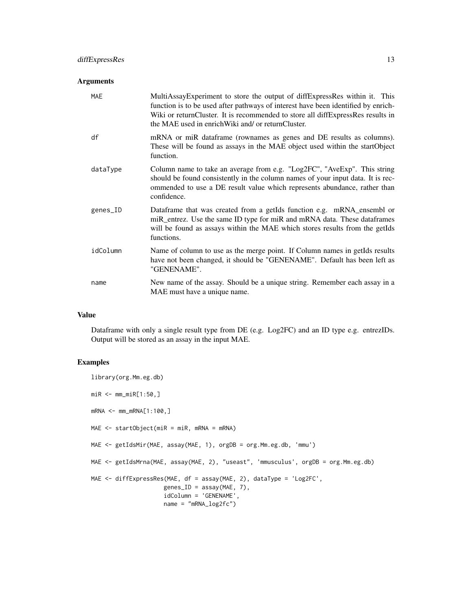#### Arguments

| MAE      | MultiAssayExperiment to store the output of diffExpressRes within it. This<br>function is to be used after pathways of interest have been identified by enrich-<br>Wiki or returnCluster. It is recommended to store all diffExpressRes results in<br>the MAE used in enrich Wiki and/ or return Cluster. |
|----------|-----------------------------------------------------------------------------------------------------------------------------------------------------------------------------------------------------------------------------------------------------------------------------------------------------------|
| df       | mRNA or miR dataframe (rownames as genes and DE results as columns).<br>These will be found as assays in the MAE object used within the startObject<br>function.                                                                                                                                          |
| dataType | Column name to take an average from e.g. "Log2FC", "AveExp". This string<br>should be found consistently in the column names of your input data. It is rec-<br>ommended to use a DE result value which represents abundance, rather than<br>confidence.                                                   |
| genes_ID | Dataframe that was created from a getIds function e.g. mRNA_ensembl or<br>miR_entrez. Use the same ID type for miR and mRNA data. These dataframes<br>will be found as assays within the MAE which stores results from the getIds<br>functions.                                                           |
| idColumn | Name of column to use as the merge point. If Column names in getIds results<br>have not been changed, it should be "GENENAME". Default has been left as<br>"GENENAME".                                                                                                                                    |
| name     | New name of the assay. Should be a unique string. Remember each assay in a<br>MAE must have a unique name.                                                                                                                                                                                                |

#### Value

Dataframe with only a single result type from DE (e.g. Log2FC) and an ID type e.g. entrezIDs. Output will be stored as an assay in the input MAE.

```
library(org.Mm.eg.db)
miR <- mm_miR[1:50,]
mRNA <- mm_mRNA[1:100,]
MAE <- startObject(miR = miR, mRNA = mRNA)
MAE <- getIdsMir(MAE, assay(MAE, 1), orgDB = org.Mm.eg.db, 'mmu')
MAE <- getIdsMrna(MAE, assay(MAE, 2), "useast", 'mmusculus', orgDB = org.Mm.eg.db)
MAE <- diffExpressRes(MAE, df = assay(MAE, 2), dataType = 'Log2FC',
                     genes_ID = assay(MAE, 7),
                     idColumn = 'GENENAME',
                     name = "mRNA_log2fc")
```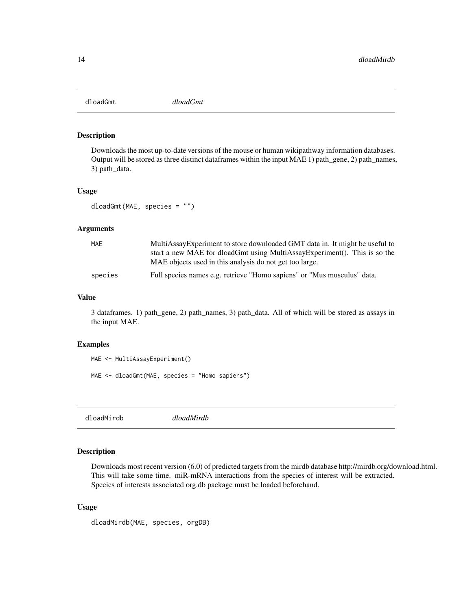<span id="page-13-0"></span>dloadGmt *dloadGmt*

#### Description

Downloads the most up-to-date versions of the mouse or human wikipathway information databases. Output will be stored as three distinct dataframes within the input MAE 1) path\_gene, 2) path\_names, 3) path\_data.

#### Usage

dloadGmt(MAE, species = "")

#### Arguments

| MAE     | MultiAssayExperiment to store downloaded GMT data in. It might be useful to |
|---------|-----------------------------------------------------------------------------|
|         | start a new MAE for dloadGmt using MultiAssayExperiment(). This is so the   |
|         | MAE objects used in this analysis do not get too large.                     |
| species | Full species names e.g. retrieve "Homo sapiens" or "Mus musculus" data.     |

#### Value

3 dataframes. 1) path\_gene, 2) path\_names, 3) path\_data. All of which will be stored as assays in the input MAE.

#### Examples

```
MAE <- MultiAssayExperiment()
MAE <- dloadGmt(MAE, species = "Homo sapiens")
```
dloadMirdb *dloadMirdb*

#### Description

Downloads most recent version (6.0) of predicted targets from the mirdb database http://mirdb.org/download.html. This will take some time. miR-mRNA interactions from the species of interest will be extracted. Species of interests associated org.db package must be loaded beforehand.

#### Usage

dloadMirdb(MAE, species, orgDB)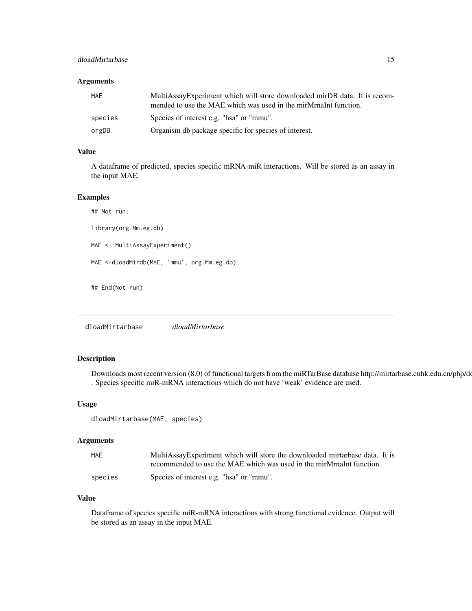#### <span id="page-14-0"></span>dloadMirtarbase 15

#### Arguments

| MAE     | MultiAssayExperiment which will store downloaded mirDB data. It is recom-<br>mended to use the MAE which was used in the mirMrnaInt function. |
|---------|-----------------------------------------------------------------------------------------------------------------------------------------------|
| species | Species of interest e.g. "hsa" or "mmu".                                                                                                      |
| orgDB   | Organism db package specific for species of interest.                                                                                         |

#### Value

A dataframe of predicted, species specific mRNA-miR interactions. Will be stored as an assay in the input MAE.

#### Examples

## Not run: library(org.Mm.eg.db) MAE <- MultiAssayExperiment() MAE <-dloadMirdb(MAE, 'mmu', org.Mm.eg.db) ## End(Not run)

dloadMirtarbase *dloadMirtarbase*

#### Description

Downloads most recent version (8.0) of functional targets from the miRTarBase database http://mirtarbase.cuhk.edu.cn/php/d . Species specific miR-mRNA interactions which do not have 'weak' evidence are used.

#### Usage

dloadMirtarbase(MAE, species)

#### Arguments

| MAE     | MultiAssayExperiment which will store the downloaded mirtarbase data. It is |
|---------|-----------------------------------------------------------------------------|
|         | recommended to use the MAE which was used in the mirMrnaInt function.       |
| species | Species of interest e.g. "hsa" or "mmu".                                    |

#### Value

Dataframe of species specific miR-mRNA interactions with strong functional evidence. Output will be stored as an assay in the input MAE.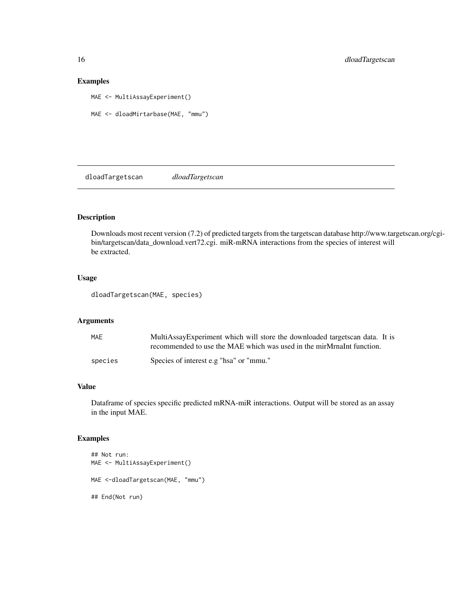#### Examples

MAE <- MultiAssayExperiment()

```
MAE <- dloadMirtarbase(MAE, "mmu")
```
dloadTargetscan *dloadTargetscan*

### Description

Downloads most recent version (7.2) of predicted targets from the targetscan database http://www.targetscan.org/cgibin/targetscan/data\_download.vert72.cgi. miR-mRNA interactions from the species of interest will be extracted.

#### Usage

dloadTargetscan(MAE, species)

#### Arguments

| MAE     | MultiAssayExperiment which will store the downloaded targets can data. It is |
|---------|------------------------------------------------------------------------------|
|         | recommended to use the MAE which was used in the mirMrnaInt function.        |
| species | Species of interest e.g "hsa" or "mmu."                                      |

#### Value

Dataframe of species specific predicted mRNA-miR interactions. Output will be stored as an assay in the input MAE.

```
## Not run:
MAE <- MultiAssayExperiment()
MAE <-dloadTargetscan(MAE, "mmu")
## End(Not run)
```
<span id="page-15-0"></span>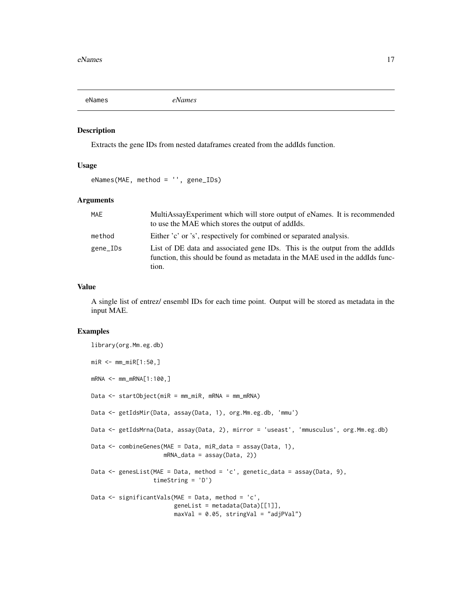<span id="page-16-0"></span>

#### Description

Extracts the gene IDs from nested dataframes created from the addIds function.

#### Usage

eNames(MAE, method = '', gene\_IDs)

#### Arguments

| MAE      | MultiAssayExperiment which will store output of eNames. It is recommended<br>to use the MAE which stores the output of addIds.                                         |
|----------|------------------------------------------------------------------------------------------------------------------------------------------------------------------------|
| method   | Either 'c' or 's', respectively for combined or separated analysis.                                                                                                    |
| gene_IDs | List of DE data and associated gene IDs. This is the output from the addIds<br>function, this should be found as metadata in the MAE used in the addIds func-<br>tion. |

#### Value

A single list of entrez/ ensembl IDs for each time point. Output will be stored as metadata in the input MAE.

```
library(org.Mm.eg.db)
miR <- mm_miR[1:50,]
mRNA <- mm_mRNA[1:100,]
Data <- startObject(miR = mm_miR, mRNA = mm_mRNA)
Data <- getIdsMir(Data, assay(Data, 1), org.Mm.eg.db, 'mmu')
Data <- getIdsMrna(Data, assay(Data, 2), mirror = 'useast', 'mmusculus', org.Mm.eg.db)
Data <- combineGenes(MAE = Data, miR_data = assay(Data, 1),
                     mRNA_data = assay(Data, 2))
Data <- genesList(MAE = Data, method = 'c', genetic_data = assay(Data, 9),
                  timeString = 'D')
Data \leq significantVals(MAE = Data, method = 'c',
                        geneList = metadata(Data)[[1]],
                        maxVal = 0.05, stringVal = "adjPVal")
```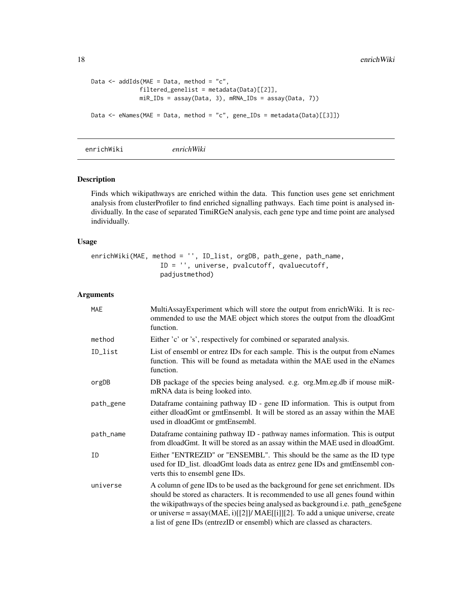```
Data \leq addIds(MAE = Data, method = "c",
              filtered_genelist = metadata(Data)[[2]],
             miR_IDs = assay(Data, 3), mRNA_IDs = assay(Data, 7))
Data <- eNames(MAE = Data, method = "c", gene_IDs = metadata(Data)[[3]])
```
enrichWiki *enrichWiki*

#### Description

Finds which wikipathways are enriched within the data. This function uses gene set enrichment analysis from clusterProfiler to find enriched signalling pathways. Each time point is analysed individually. In the case of separated TimiRGeN analysis, each gene type and time point are analysed individually.

#### Usage

```
enrichWiki(MAE, method = '', ID_list, orgDB, path_gene, path_name,
                  ID = '', universe, pvalcutoff, qvaluecutoff,
                  padjustmethod)
```
#### Arguments

| <b>MAE</b> | MultiAssayExperiment which will store the output from enrichWiki. It is rec-<br>ommended to use the MAE object which stores the output from the dloadGmt<br>function.                                                                                                                                                                                                                                                   |
|------------|-------------------------------------------------------------------------------------------------------------------------------------------------------------------------------------------------------------------------------------------------------------------------------------------------------------------------------------------------------------------------------------------------------------------------|
| method     | Either 'c' or 's', respectively for combined or separated analysis.                                                                                                                                                                                                                                                                                                                                                     |
| ID_list    | List of ensembl or entrez IDs for each sample. This is the output from eNames<br>function. This will be found as metadata within the MAE used in the eNames<br>function.                                                                                                                                                                                                                                                |
| orgDB      | DB package of the species being analysed. e.g. org. Mm. eg. db if mouse miR-<br>mRNA data is being looked into.                                                                                                                                                                                                                                                                                                         |
| path_gene  | Dataframe containing pathway ID - gene ID information. This is output from<br>either dloadGmt or gmtEnsembl. It will be stored as an assay within the MAE<br>used in dloadGmt or gmtEnsembl.                                                                                                                                                                                                                            |
| path_name  | Dataframe containing pathway ID - pathway names information. This is output<br>from dloadGmt. It will be stored as an assay within the MAE used in dloadGmt.                                                                                                                                                                                                                                                            |
| ID         | Either "ENTREZID" or "ENSEMBL". This should be the same as the ID type<br>used for ID_list. dloadGmt loads data as entrez gene IDs and gmtEnsembl con-<br>verts this to ensembl gene IDs.                                                                                                                                                                                                                               |
| universe   | A column of gene IDs to be used as the background for gene set enrichment. IDs<br>should be stored as characters. It is recommended to use all genes found within<br>the wikipathways of the species being analysed as background i.e. path_gene\$gene<br>or universe = $assay(MAE, i)[[2]]/MAE[i]][2]$ . To add a unique universe, create<br>a list of gene IDs (entrezID or ensembl) which are classed as characters. |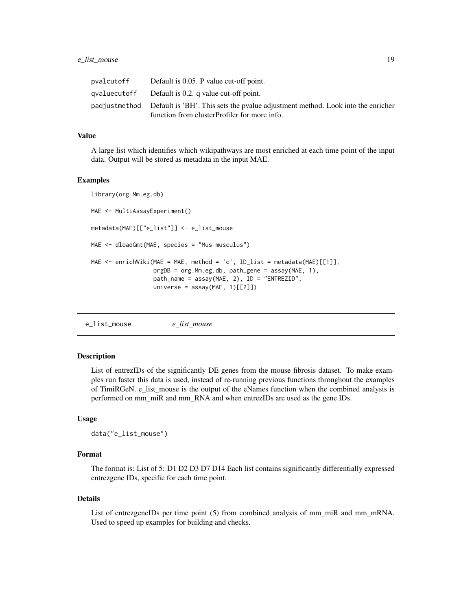#### <span id="page-18-0"></span>e\_list\_mouse 19

| pvalcutoff | Default is 0.05. P value cut-off point.                                                                                                       |
|------------|-----------------------------------------------------------------------------------------------------------------------------------------------|
|            | qvalue cutoff Default is $0.2$ . q value cut-off point.                                                                                       |
|            | padjustmethod Default is 'BH'. This sets the pvalue adjustment method. Look into the enricher<br>function from clusterProfiler for more info. |
|            |                                                                                                                                               |

#### Value

A large list which identifies which wikipathways are most enriched at each time point of the input data. Output will be stored as metadata in the input MAE.

#### Examples

```
library(org.Mm.eg.db)
MAE <- MultiAssayExperiment()
metadata(MAE)[["e_list"]] <- e_list_mouse
MAE <- dloadGmt(MAE, species = "Mus musculus")
MAE <- enrichWiki(MAE = MAE, method = 'c', ID_list = metadata(MAE)[[1]],
                  orgDB = org.Mm.eg.db, path_gene = assay(MAE, 1),
                  path_name = assay(MAE, 2), ID = "ENTREZID",
                  universe = assay(MAE, 1)[[2]]
```
e\_list\_mouse *e\_list\_mouse*

#### Description

List of entrezIDs of the significantly DE genes from the mouse fibrosis dataset. To make examples run faster this data is used, instead of re-running previous functions throughout the examples of TimiRGeN. e\_list\_mouse is the output of the eNames function when the combined analysis is performed on mm\_miR and mm\_RNA and when entrezIDs are used as the gene IDs.

#### Usage

```
data("e_list_mouse")
```
#### Format

The format is: List of 5: D1 D2 D3 D7 D14 Each list contains significantly differentially expressed entrezgene IDs, specific for each time point.

#### Details

List of entrezgeneIDs per time point (5) from combined analysis of mm\_miR and mm\_mRNA. Used to speed up examples for building and checks.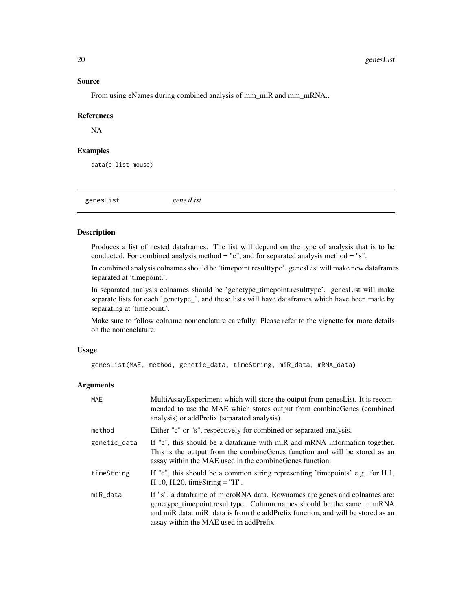#### Source

From using eNames during combined analysis of mm\_miR and mm\_mRNA..

#### References

NA

#### Examples

data(e\_list\_mouse)

genesList *genesList*

#### Description

Produces a list of nested dataframes. The list will depend on the type of analysis that is to be conducted. For combined analysis method = "c", and for separated analysis method = "s".

In combined analysis colnames should be 'timepoint.resulttype'. genesList will make new dataframes separated at 'timepoint.'.

In separated analysis colnames should be 'genetype\_timepoint.resulttype'. genesList will make separate lists for each 'genetype\_', and these lists will have dataframes which have been made by separating at 'timepoint.'.

Make sure to follow colname nomenclature carefully. Please refer to the vignette for more details on the nomenclature.

#### Usage

```
genesList(MAE, method, genetic_data, timeString, miR_data, mRNA_data)
```
#### Arguments

| <b>MAE</b>   | MultiAssayExperiment which will store the output from genesList. It is recom-<br>mended to use the MAE which stores output from combineGenes (combined<br>analysis) or addPrefix (separated analysis).                                                                             |
|--------------|------------------------------------------------------------------------------------------------------------------------------------------------------------------------------------------------------------------------------------------------------------------------------------|
| method       | Either "c" or "s", respectively for combined or separated analysis.                                                                                                                                                                                                                |
| genetic_data | If "c", this should be a data frame with miR and mRNA information together.<br>This is the output from the combine Genes function and will be stored as an<br>assay within the MAE used in the combine Genes function.                                                             |
| timeString   | If "c", this should be a common string representing 'timepoints' e.g. for H.1,<br>$H.10$ , $H.20$ , timeString = "H".                                                                                                                                                              |
| miR_data     | If "s", a dataframe of microRNA data. Rownames are genes and colnames are:<br>genetype_timepoint.resulttype. Column names should be the same in mRNA<br>and miR data, miR data is from the addPrefix function, and will be stored as an<br>assay within the MAE used in addPrefix. |

<span id="page-19-0"></span>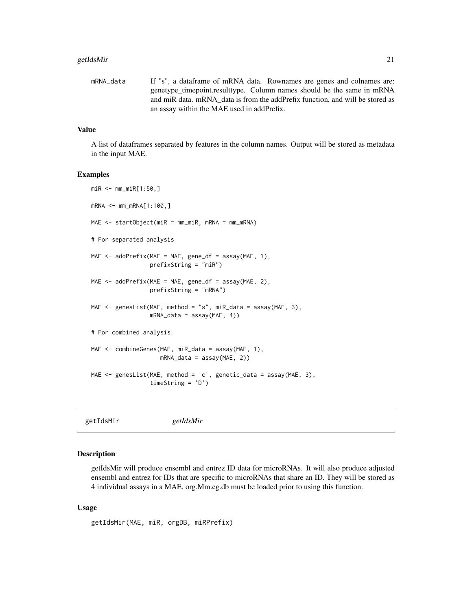#### <span id="page-20-0"></span>getIdsMir 21

```
mRNA_data If "s", a dataframe of mRNA data. Rownames are genes and colnames are:
                 genetype_timepoint.resulttype. Column names should be the same in mRNA
                 and miR data. mRNA_data is from the addPrefix function, and will be stored as
                 an assay within the MAE used in addPrefix.
```
#### Value

A list of dataframes separated by features in the column names. Output will be stored as metadata in the input MAE.

#### Examples

```
miR <- mm_miR[1:50,]
mRNA <- mm_mRNA[1:100,]
MAE \leq startObject(miR = mm_miR, mRNA = mm_mRNA)
# For separated analysis
MAE \leq addPrefix(MAE = MAE, gene_df = assay(MAE, 1),
                 prefixString = "miR")
MAE <- addPrefix(MAE = MAE, gene_df = assay(MAE, 2),
                 prefixString = "mRNA")
MAE \leq genesList(MAE, method = "s", miR_data = assay(MAE, 3),
                 mRNA\_data = assay(MAE, 4)# For combined analysis
MAE <- combineGenes(MAE, miR_data = assay(MAE, 1),
                    mRNA_data = assay(MAE, 2))
MAE <- genesList(MAE, method = 'c', genetic_data = assay(MAE, 3),
                 timeString = 'D')
```

|--|

#### Description

getIdsMir will produce ensembl and entrez ID data for microRNAs. It will also produce adjusted ensembl and entrez for IDs that are specific to microRNAs that share an ID. They will be stored as 4 individual assays in a MAE. org.Mm.eg.db must be loaded prior to using this function.

#### Usage

```
getIdsMir(MAE, miR, orgDB, miRPrefix)
```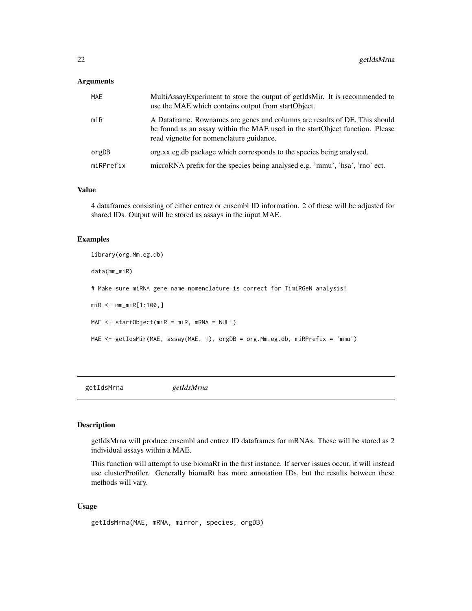#### <span id="page-21-0"></span>Arguments

| <b>MAE</b> | MultiAssayExperiment to store the output of getIdsMir. It is recommended to<br>use the MAE which contains output from startObject.                                                                     |
|------------|--------------------------------------------------------------------------------------------------------------------------------------------------------------------------------------------------------|
| $m$ i $R$  | A Dataframe. Rownames are genes and columns are results of DE. This should<br>be found as an assay within the MAE used in the startObject function. Please<br>read vignette for nomenclature guidance. |
| orgDB      | org.xx.eg.db package which corresponds to the species being analysed.                                                                                                                                  |
| miRPrefix  | microRNA prefix for the species being analysed e.g. 'mmu', 'hsa', 'rno' ect.                                                                                                                           |

#### Value

4 dataframes consisting of either entrez or ensembl ID information. 2 of these will be adjusted for shared IDs. Output will be stored as assays in the input MAE.

#### Examples

```
library(org.Mm.eg.db)
data(mm_miR)
# Make sure miRNA gene name nomenclature is correct for TimiRGeN analysis!
miR <- mm_miR[1:100,]
MAE <- startObject(miR = miR, mRNA = NULL)
MAE <- getIdsMir(MAE, assay(MAE, 1), orgDB = org.Mm.eg.db, miRPrefix = 'mmu')
```
getIdsMrna *getIdsMrna*

#### Description

getIdsMrna will produce ensembl and entrez ID dataframes for mRNAs. These will be stored as 2 individual assays within a MAE.

This function will attempt to use biomaRt in the first instance. If server issues occur, it will instead use clusterProfiler. Generally biomaRt has more annotation IDs, but the results between these methods will vary.

#### Usage

```
getIdsMrna(MAE, mRNA, mirror, species, orgDB)
```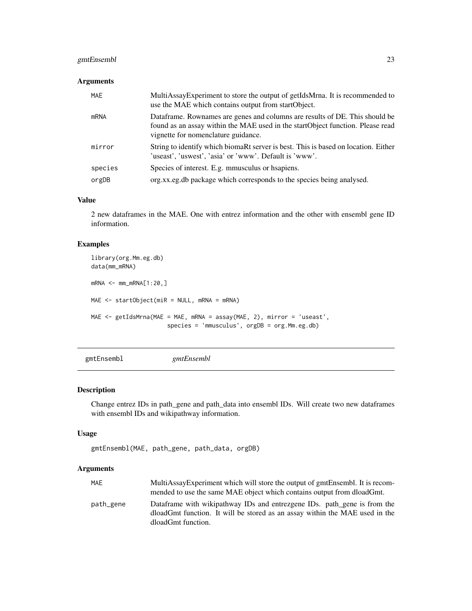#### <span id="page-22-0"></span>gmtEnsembl 23

#### Arguments

| MAE     | MultiAssayExperiment to store the output of getIdsMrna. It is recommended to<br>use the MAE which contains output from startObject.                                                                  |
|---------|------------------------------------------------------------------------------------------------------------------------------------------------------------------------------------------------------|
| mRNA    | Dataframe. Rownames are genes and columns are results of DE. This should be<br>found as an assay within the MAE used in the startObject function. Please read<br>vignette for nomenclature guidance. |
| mirror  | String to identify which biomaRt server is best. This is based on location. Either<br>'useast', 'uswest', 'asia' or 'www'. Default is 'www'.                                                         |
| species | Species of interest. E.g. mmusculus or happiens.                                                                                                                                                     |
| orgDB   | org.xx.eg.db package which corresponds to the species being analysed.                                                                                                                                |

#### Value

2 new dataframes in the MAE. One with entrez information and the other with ensembl gene ID information.

#### Examples

```
library(org.Mm.eg.db)
data(mm_mRNA)
mRNA < - mm_mRNA[1:20, ]MAE <- startObject(miR = NULL, mRNA = mRNA)
MAE <- getIdsMrna(MAE = MAE, mRNA = assay(MAE, 2), mirror = 'useast',
                      species = 'mmusculus', orgDB = org.Mm.eg.db)
```
gmtEnsembl *gmtEnsembl*

#### Description

Change entrez IDs in path\_gene and path\_data into ensembl IDs. Will create two new dataframes with ensembl IDs and wikipathway information.

#### Usage

```
gmtEnsembl(MAE, path_gene, path_data, orgDB)
```
#### Arguments

| MAE       | MultiAssayExperiment which will store the output of gmtEnsembl. It is recom-<br>mended to use the same MAE object which contains output from dloadGmt.  |
|-----------|---------------------------------------------------------------------------------------------------------------------------------------------------------|
| path_gene | Dataframe with wikipathway IDs and entrezgene IDs. path_gene is from the<br>dloadGmt function. It will be stored as an assay within the MAE used in the |
|           | dloadGmt function.                                                                                                                                      |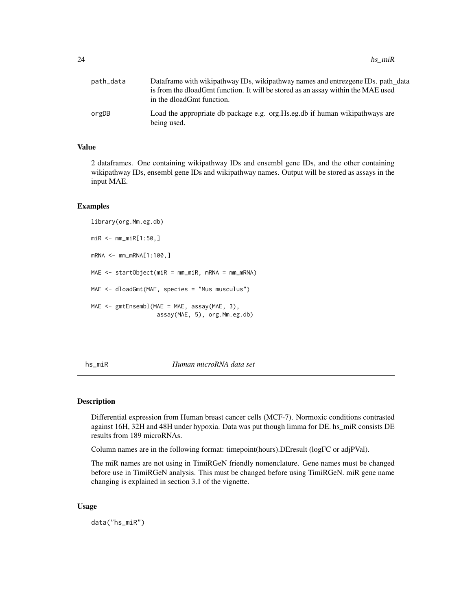<span id="page-23-0"></span>

| path_data | Dataframe with wikipathway IDs, wikipathway names and entrezgene IDs. path_data<br>is from the dloadGmt function. It will be stored as an assay within the MAE used<br>in the dloadGmt function. |
|-----------|--------------------------------------------------------------------------------------------------------------------------------------------------------------------------------------------------|
| orgDB     | Load the appropriate db package e.g. org. Hs. eg. db if human wikipathways are<br>being used.                                                                                                    |

#### Value

2 dataframes. One containing wikipathway IDs and ensembl gene IDs, and the other containing wikipathway IDs, ensembl gene IDs and wikipathway names. Output will be stored as assays in the input MAE.

#### Examples

```
library(org.Mm.eg.db)
miR <- mm_miR[1:50,]
mRNA < - mm_{m}RNA[1:100, ]MAE <- startObject(miR = mm_miR, mRNA = mm_mRNA)
MAE <- dloadGmt(MAE, species = "Mus musculus")
MAE <- gmtEnsembl(MAE = MAE, assay(MAE, 3),
                   assay(MAE, 5), org.Mm.eg.db)
```
hs\_miR *Human microRNA data set*

#### Description

Differential expression from Human breast cancer cells (MCF-7). Normoxic conditions contrasted against 16H, 32H and 48H under hypoxia. Data was put though limma for DE. hs\_miR consists DE results from 189 microRNAs.

Column names are in the following format: timepoint(hours).DEresult (logFC or adjPVal).

The miR names are not using in TimiRGeN friendly nomenclature. Gene names must be changed before use in TimiRGeN analysis. This must be changed before using TimiRGeN. miR gene name changing is explained in section 3.1 of the vignette.

#### Usage

data("hs\_miR")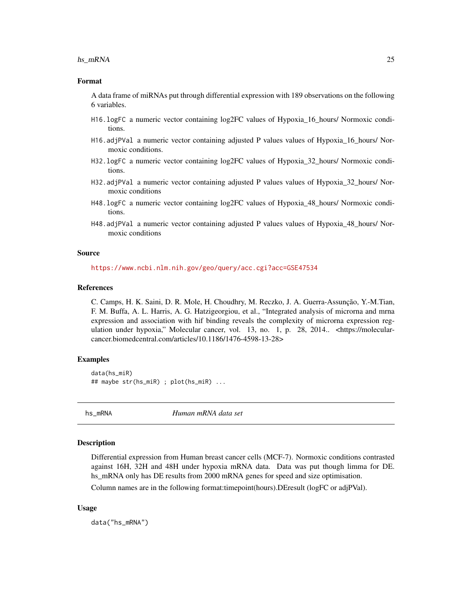#### <span id="page-24-0"></span>hs\_mRNA 25

#### Format

A data frame of miRNAs put through differential expression with 189 observations on the following 6 variables.

- H16.logFC a numeric vector containing log2FC values of Hypoxia\_16\_hours/ Normoxic conditions.
- H16.adjPVal a numeric vector containing adjusted P values values of Hypoxia\_16\_hours/ Normoxic conditions.
- H32.logFC a numeric vector containing log2FC values of Hypoxia\_32\_hours/ Normoxic conditions.
- H32.adjPVal a numeric vector containing adjusted P values values of Hypoxia\_32\_hours/ Normoxic conditions
- H48.logFC a numeric vector containing log2FC values of Hypoxia\_48\_hours/ Normoxic conditions.
- H48.adjPVal a numeric vector containing adjusted P values values of Hypoxia\_48\_hours/ Normoxic conditions

#### Source

<https://www.ncbi.nlm.nih.gov/geo/query/acc.cgi?acc=GSE47534>

#### References

C. Camps, H. K. Saini, D. R. Mole, H. Choudhry, M. Reczko, J. A. Guerra-Assunção, Y.-M.Tian, F. M. Buffa, A. L. Harris, A. G. Hatzigeorgiou, et al., "Integrated analysis of microrna and mrna expression and association with hif binding reveals the complexity of microrna expression regulation under hypoxia," Molecular cancer, vol. 13, no. 1, p. 28, 2014.. <https://molecularcancer.biomedcentral.com/articles/10.1186/1476-4598-13-28>

#### Examples

data(hs\_miR) ## maybe str(hs\_miR) ; plot(hs\_miR) ...

hs\_mRNA *Human mRNA data set*

#### Description

Differential expression from Human breast cancer cells (MCF-7). Normoxic conditions contrasted against 16H, 32H and 48H under hypoxia mRNA data. Data was put though limma for DE. hs\_mRNA only has DE results from 2000 mRNA genes for speed and size optimisation.

Column names are in the following format:timepoint(hours).DEresult (logFC or adjPVal).

#### Usage

data("hs\_mRNA")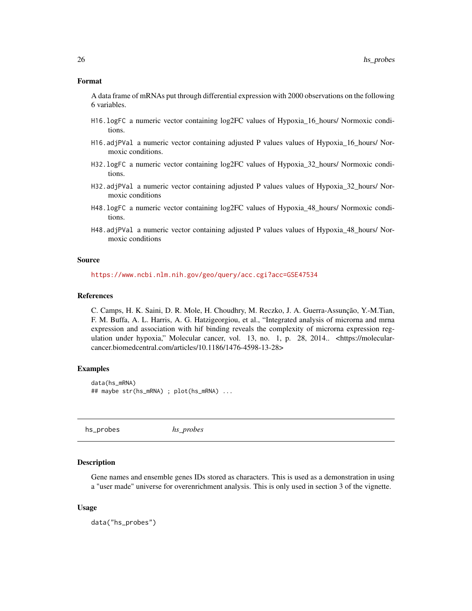#### <span id="page-25-0"></span>Format

A data frame of mRNAs put through differential expression with 2000 observations on the following 6 variables.

- H16.logFC a numeric vector containing log2FC values of Hypoxia\_16\_hours/ Normoxic conditions.
- H16.adjPVal a numeric vector containing adjusted P values values of Hypoxia\_16\_hours/ Normoxic conditions.
- H32.logFC a numeric vector containing log2FC values of Hypoxia\_32\_hours/ Normoxic conditions.
- H32.adjPVal a numeric vector containing adjusted P values values of Hypoxia\_32\_hours/ Normoxic conditions
- H48.logFC a numeric vector containing log2FC values of Hypoxia\_48\_hours/ Normoxic conditions.
- H48.adjPVal a numeric vector containing adjusted P values values of Hypoxia\_48\_hours/ Normoxic conditions

#### Source

<https://www.ncbi.nlm.nih.gov/geo/query/acc.cgi?acc=GSE47534>

#### References

C. Camps, H. K. Saini, D. R. Mole, H. Choudhry, M. Reczko, J. A. Guerra-Assunção, Y.-M.Tian, F. M. Buffa, A. L. Harris, A. G. Hatzigeorgiou, et al., "Integrated analysis of microrna and mrna expression and association with hif binding reveals the complexity of microrna expression regulation under hypoxia," Molecular cancer, vol. 13, no. 1, p. 28, 2014.. <https://molecularcancer.biomedcentral.com/articles/10.1186/1476-4598-13-28>

#### Examples

```
data(hs_mRNA)
## maybe str(hs_mRNA) ; plot(hs_mRNA) ...
```
hs\_probes *hs\_probes*

#### **Description**

Gene names and ensemble genes IDs stored as characters. This is used as a demonstration in using a "user made" universe for overenrichment analysis. This is only used in section 3 of the vignette.

#### Usage

data("hs\_probes")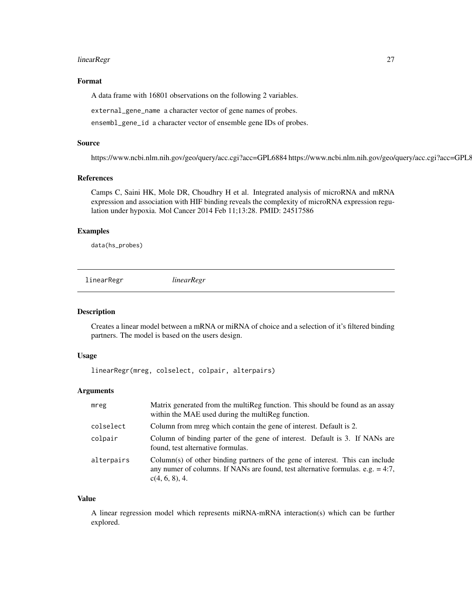#### <span id="page-26-0"></span>linearRegr 27

#### Format

A data frame with 16801 observations on the following 2 variables.

external\_gene\_name a character vector of gene names of probes.

ensembl\_gene\_id a character vector of ensemble gene IDs of probes.

#### Source

https://www.ncbi.nlm.nih.gov/geo/query/acc.cgi?acc=GPL6884 https://www.ncbi.nlm.nih.gov/geo/query/acc.cgi?acc=GPL8227

#### References

Camps C, Saini HK, Mole DR, Choudhry H et al. Integrated analysis of microRNA and mRNA expression and association with HIF binding reveals the complexity of microRNA expression regulation under hypoxia. Mol Cancer 2014 Feb 11;13:28. PMID: 24517586

#### Examples

data(hs\_probes)

linearRegr *linearRegr*

#### Description

Creates a linear model between a mRNA or miRNA of choice and a selection of it's filtered binding partners. The model is based on the users design.

#### Usage

linearRegr(mreg, colselect, colpair, alterpairs)

#### Arguments

| mreg       | Matrix generated from the multiReg function. This should be found as an assay<br>within the MAE used during the multirege function.                                                   |
|------------|---------------------------------------------------------------------------------------------------------------------------------------------------------------------------------------|
| colselect  | Column from mreg which contain the gene of interest. Default is 2.                                                                                                                    |
| colpair    | Column of binding parter of the gene of interest. Default is 3. If NANs are<br>found, test alternative formulas.                                                                      |
| alterpairs | Column(s) of other binding partners of the gene of interest. This can include<br>any numer of columns. If NANs are found, test alternative formulas. e.g. $= 4:7$ ,<br>c(4, 6, 8), 4. |

#### Value

A linear regression model which represents miRNA-mRNA interaction(s) which can be further explored.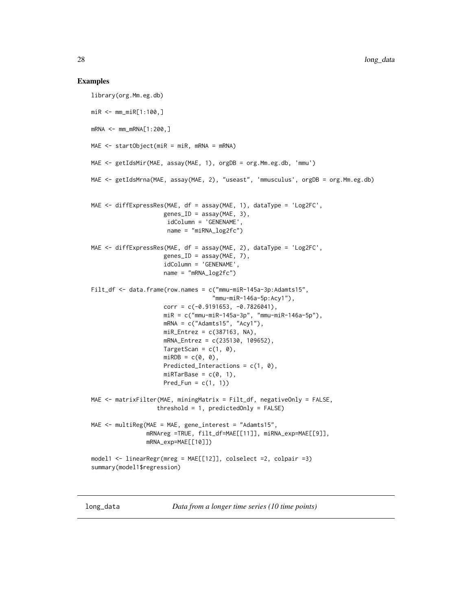#### <span id="page-27-0"></span>Examples

```
library(org.Mm.eg.db)
miR <- mm_miR[1:100,]
mRNA <- mm_mRNA[1:200,]
MAE <- startObject(miR = miR, mRNA = mRNA)
MAE <- getIdsMir(MAE, assay(MAE, 1), orgDB = org.Mm.eg.db, 'mmu')
MAE <- getIdsMrna(MAE, assay(MAE, 2), "useast", 'mmusculus', orgDB = org.Mm.eg.db)
MAE <- diffExpressRes(MAE, df = assay(MAE, 1), dataType = 'Log2FC',
                     genes\_ID = assay(MAE, 3),
                      idColumn = 'GENENAME',
                     name = "miRNA_log2fc")
MAE <- diffExpressRes(MAE, df = assay(MAE, 2), dataType = 'Log2FC',
                     genes_ID = assay(MAE, 7),
                     idColumn = 'GENENAME',
                     name = "mRNA_log2fc")Filt_df <- data.frame(row.names = c("mmu-miR-145a-3p:Adamts15",
                                   "mmu-miR-146a-5p:Acy1"),
                     corr = c(-0.9191653, -0.7826041),
                     miR = c("mmu-miR-145a-3p", "mmu-miR-146a-5p"),
                     mRNA = c("Adamts15", "Acy1"),
                     miR_Entrez = c(387163, NA),mRNA_Entrez = c(235130, 109652),
                     TargetScan = c(1, 0),
                     miRDB = c(0, 0),Predicted_Interactions = c(1, 0),
                     miRTarBase = c(0, 1),Pred_Fun = c(1, 1))
MAE <- matrixFilter(MAE, miningMatrix = Filt_df, negativeOnly = FALSE,
                   threshold = 1, predictedOnly = FALSE)
MAE <- multiReg(MAE = MAE, gene_interest = "Adamts15",
                mRNAreg =TRUE, filt_df=MAE[[11]], miRNA_exp=MAE[[9]],
                mRNA_exp=MAE[[10]])
model1 <- linearRegr(mreg = MAE[[12]], colselect =2, colpair =3)
summary(model1$regression)
```
long\_data *Data from a longer time series (10 time points)*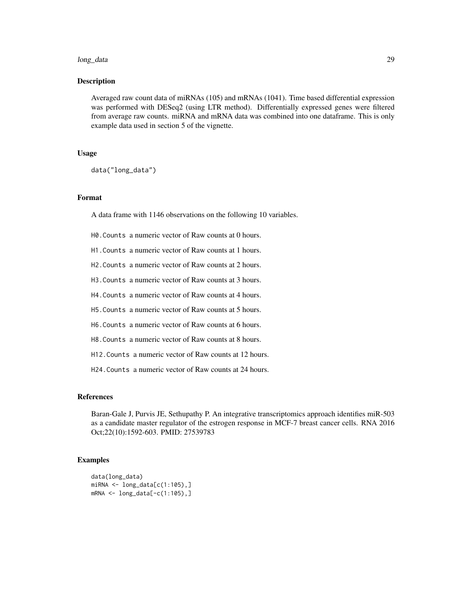#### long\_data 29

#### Description

Averaged raw count data of miRNAs (105) and mRNAs (1041). Time based differential expression was performed with DESeq2 (using LTR method). Differentially expressed genes were filtered from average raw counts. miRNA and mRNA data was combined into one dataframe. This is only example data used in section 5 of the vignette.

#### Usage

data("long\_data")

#### Format

A data frame with 1146 observations on the following 10 variables.

- H0.Counts a numeric vector of Raw counts at 0 hours.
- H1.Counts a numeric vector of Raw counts at 1 hours.
- H2.Counts a numeric vector of Raw counts at 2 hours.
- H3.Counts a numeric vector of Raw counts at 3 hours.
- H4.Counts a numeric vector of Raw counts at 4 hours.
- H5.Counts a numeric vector of Raw counts at 5 hours.
- H6.Counts a numeric vector of Raw counts at 6 hours.
- H8.Counts a numeric vector of Raw counts at 8 hours.
- H12.Counts a numeric vector of Raw counts at 12 hours.
- H24.Counts a numeric vector of Raw counts at 24 hours.

#### References

Baran-Gale J, Purvis JE, Sethupathy P. An integrative transcriptomics approach identifies miR-503 as a candidate master regulator of the estrogen response in MCF-7 breast cancer cells. RNA 2016 Oct;22(10):1592-603. PMID: 27539783

```
data(long_data)
miRNA <- long_data[c(1:105),]mRNA < - long_data[-c(1:105),]
```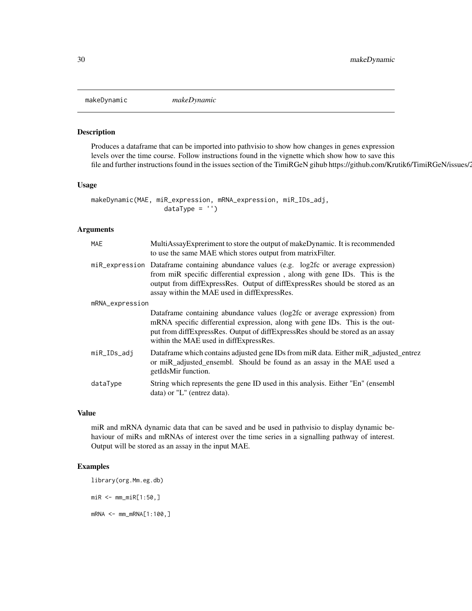<span id="page-29-0"></span>

#### Description

Produces a dataframe that can be imported into pathvisio to show how changes in genes expression levels over the time course. Follow instructions found in the vignette which show how to save this file and further instructions found in the issues section of the TimiRGeN gihub https://github.com/Krutik6/TimiRGeN/issues/2.

#### Usage

```
makeDynamic(MAE, miR_expression, mRNA_expression, miR_IDs_adj,
                  dataType = '')
```
#### Arguments

| MAE             | MultiAssayExpreriment to store the output of makeDynamic. It is recommended<br>to use the same MAE which stores output from matrix Filter.                                                                                                                                                             |  |
|-----------------|--------------------------------------------------------------------------------------------------------------------------------------------------------------------------------------------------------------------------------------------------------------------------------------------------------|--|
|                 | miR_expression Dataframe containing abundance values (e.g. log2fc or average expression)<br>from miR specific differential expression, along with gene IDs. This is the<br>output from diffExpressRes. Output of diffExpressRes should be stored as an<br>assay within the MAE used in diffExpressRes. |  |
| mRNA_expression |                                                                                                                                                                                                                                                                                                        |  |
|                 | Dataframe containing abundance values (log2fc or average expression) from<br>mRNA specific differential expression, along with gene IDs. This is the out-<br>put from diffExpressRes. Output of diffExpressRes should be stored as an assay<br>within the MAE used in diffExpressRes.                  |  |
| miR_IDs_adj     | Data frame which contains adjusted gene IDs from miR data. Either miR_adjusted_entrez<br>or miR_adjusted_ensembl. Should be found as an assay in the MAE used a<br>getIdsMir function.                                                                                                                 |  |
| dataType        | String which represents the gene ID used in this analysis. Either "En" (ensembl<br>$data)$ or "L" (entrez data).                                                                                                                                                                                       |  |

#### Value

miR and mRNA dynamic data that can be saved and be used in pathvisio to display dynamic behaviour of miRs and mRNAs of interest over the time series in a signalling pathway of interest. Output will be stored as an assay in the input MAE.

#### Examples

library(org.Mm.eg.db) miR <- mm\_miR[1:50,]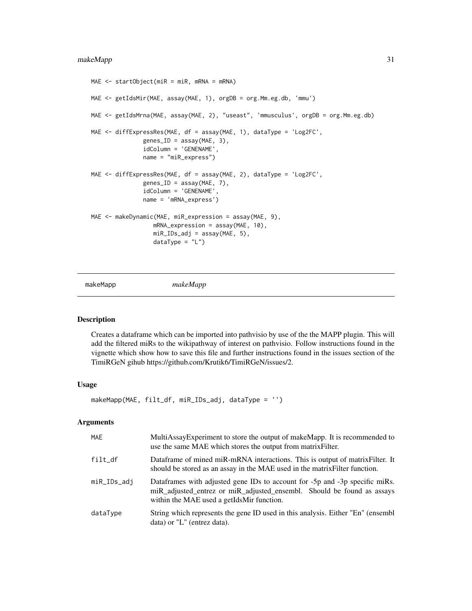#### <span id="page-30-0"></span>makeMapp 31

```
MAE \leq startObject(miR = miR, mRNA = mRNA)
MAE <- getIdsMir(MAE, assay(MAE, 1), orgDB = org.Mm.eg.db, 'mmu')
MAE <- getIdsMrna(MAE, assay(MAE, 2), "useast", 'mmusculus', orgDB = org.Mm.eg.db)
MAE <- diffExpressRes(MAE, df = assay(MAE, 1), dataType = 'Log2FC',
               genes_ID = assay(MAE, 3),
               idColumn = 'GENENAME',
               name = "miR_express")
MAE <- diffExpressRes(MAE, df = assay(MAE, 2), dataType = 'Log2FC',
               genes\_ID = assay(MAE, 7),idColumn = 'GENENAME',
               name = 'mRNA_express')
MAE <- makeDynamic(MAE, miR_expression = assay(MAE, 9),
                  mRNA_expression = assay(MAE, 10),
                  miR_IDs_adj = assay(MAE, 5),
                  dataType = "L")
```
makeMapp *makeMapp*

#### Description

Creates a dataframe which can be imported into pathvisio by use of the the MAPP plugin. This will add the filtered miRs to the wikipathway of interest on pathvisio. Follow instructions found in the vignette which show how to save this file and further instructions found in the issues section of the TimiRGeN gihub https://github.com/Krutik6/TimiRGeN/issues/2.

#### Usage

makeMapp(MAE, filt\_df, miR\_IDs\_adj, dataType = '')

#### Arguments

| <b>MAE</b>  | MultiAssayExperiment to store the output of makeMapp. It is recommended to<br>use the same MAE which stores the output from matrix Filter.                                                         |
|-------------|----------------------------------------------------------------------------------------------------------------------------------------------------------------------------------------------------|
| $fill\_df$  | Dataframe of mined miR-mRNA interactions. This is output of matrix Filter. It<br>should be stored as an assay in the MAE used in the matrix Filter function.                                       |
| miR_IDs_adi | Dataframes with adjusted gene IDs to account for -5p and -3p specific miRs.<br>miR_adjusted_entrez or miR_adjusted_ensembl. Should be found as assays<br>within the MAE used a getIdsMir function. |
| dataType    | String which represents the gene ID used in this analysis. Either "En" (ensembl<br>data) or "L" (entrez data).                                                                                     |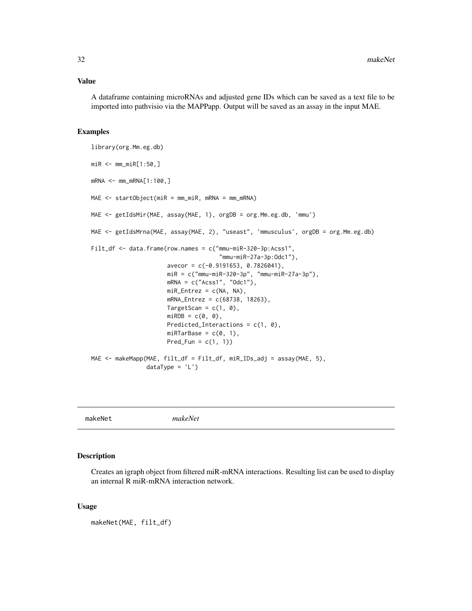#### <span id="page-31-0"></span>Value

A dataframe containing microRNAs and adjusted gene IDs which can be saved as a text file to be imported into pathvisio via the MAPPapp. Output will be saved as an assay in the input MAE.

#### Examples

```
library(org.Mm.eg.db)
miR <- mm_miR[1:50,]
mRNA <- mm_mRNA[1:100,]
MAE <- startObject(miR = mm_miR, mRNA = mm_mRNA)
MAE <- getIdsMir(MAE, assay(MAE, 1), orgDB = org.Mm.eg.db, 'mmu')
MAE <- getIdsMrna(MAE, assay(MAE, 2), "useast", 'mmusculus', orgDB = org.Mm.eg.db)
Filt_df <- data.frame(row.names = c("mmu-miR-320-3p:Acss1",
                                     "mmu-miR-27a-3p:Odc1"),
                      avecor = c(-0.9191653, 0.7826041),
                      miR = c("mmu-miR-320-3p", "mmu-miR-27a-3p"),
                      mRNA = c("Acs1", "Odc1"),miR_Entrez = c(NA, NA),mRNA_Entrez = c(68738, 18263),
                      TargetScan = c(1, 0),
                      miRDB = c(0, 0),
                      Predicted_Interactions = c(1, 0),
                      miRTarBase = c(0, 1),Pred_Fun = c(1, 1))
MAE <- makeMapp(MAE, filt_df = Filt_df, miR_IDs_adj = assay(MAE, 5),
                dataType = 'L')
```
makeNet *makeNet*

#### Description

Creates an igraph object from filtered miR-mRNA interactions. Resulting list can be used to display an internal R miR-mRNA interaction network.

#### Usage

makeNet(MAE, filt\_df)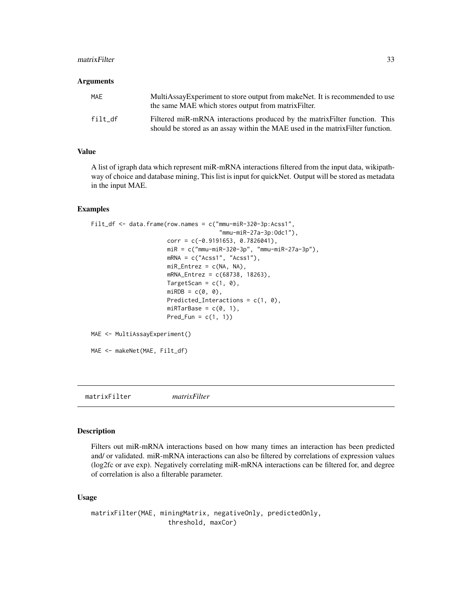#### <span id="page-32-0"></span>matrixFilter 33

#### **Arguments**

| MAE     | MultiAssayExperiment to store output from makeNet. It is recommended to use<br>the same MAE which stores output from matrix Filter.                            |
|---------|----------------------------------------------------------------------------------------------------------------------------------------------------------------|
| filt df | Filtered miR-mRNA interactions produced by the matrix Filter function. This<br>should be stored as an assay within the MAE used in the matrix Filter function. |

#### Value

A list of igraph data which represent miR-mRNA interactions filtered from the input data, wikipathway of choice and database mining, This list is input for quickNet. Output will be stored as metadata in the input MAE.

#### Examples

```
Filt_df <- data.frame(row.names = c("mmu-miR-320-3p:Acss1",
                                     "mmu-miR-27a-3p:Odc1"),
                      corr = c(-0.9191653, 0.7826041),miR = c("mmu-miR-320-3p", "mmu-miR-27a-3p"),
                      mRNA = c("Acs1", "Acs1"),miR_Entrez = c(NA, NA),mRNA_Entrez = c(68738, 18263),
                      TargetScan = c(1, 0),
                      miRDB = c(0, 0),
                      Predicted_Interactions = c(1, 0),
                      miRTarBase = c(\emptyset, 1),
                      Pred_Fun = c(1, 1)MAE <- MultiAssayExperiment()
MAE <- makeNet(MAE, Filt_df)
```
matrixFilter *matrixFilter*

#### Description

Filters out miR-mRNA interactions based on how many times an interaction has been predicted and/ or validated. miR-mRNA interactions can also be filtered by correlations of expression values (log2fc or ave exp). Negatively correlating miR-mRNA interactions can be filtered for, and degree of correlation is also a filterable parameter.

#### Usage

```
matrixFilter(MAE, miningMatrix, negativeOnly, predictedOnly,
                    threshold, maxCor)
```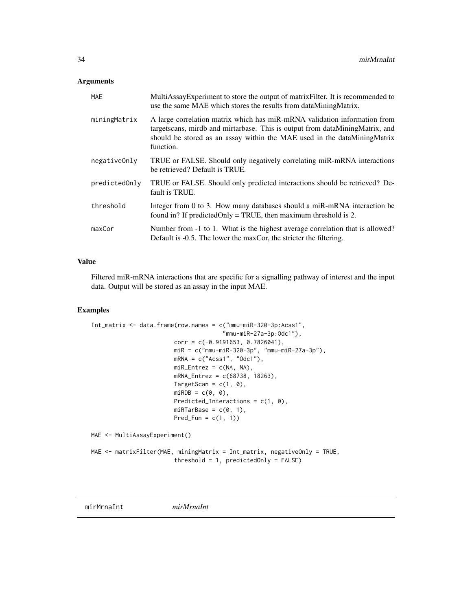#### <span id="page-33-0"></span>Arguments

| MAE           | MultiAssayExperiment to store the output of matrixFilter. It is recommended to<br>use the same MAE which stores the results from dataMiningMatrix.                                                                                                 |
|---------------|----------------------------------------------------------------------------------------------------------------------------------------------------------------------------------------------------------------------------------------------------|
| miningMatrix  | A large correlation matrix which has miR-mRNA validation information from<br>targetscans, mirdb and mirtarbase. This is output from dataMiningMatrix, and<br>should be stored as an assay within the MAE used in the dataMiningMatrix<br>function. |
| negativeOnly  | TRUE or FALSE. Should only negatively correlating miR-mRNA interactions<br>be retrieved? Default is TRUE.                                                                                                                                          |
| predictedOnly | TRUE or FALSE. Should only predicted interactions should be retrieved? De-<br>fault is TRUE.                                                                                                                                                       |
| threshold     | Integer from 0 to 3. How many databases should a miR-mRNA interaction be<br>found in? If predicted Only = TRUE, then maximum threshold is 2.                                                                                                       |
| maxCor        | Number from -1 to 1. What is the highest average correlation that is allowed?<br>Default is -0.5. The lower the maxCor, the stricter the filtering.                                                                                                |

#### Value

Filtered miR-mRNA interactions that are specific for a signalling pathway of interest and the input data. Output will be stored as an assay in the input MAE.

#### Examples

```
Int_matrix <- data.frame(row.names = c("mmu-miR-320-3p:Acss1",
                                      "mmu-miR-27a-3p:Odc1"),
                        corr = c(-0.9191653, 0.7826041),miR = c("mmu-miR-320-3p", "mmu-miR-27a-3p"),
                        mRNA = c("Acss1", "Odc1"),
                        miR_Entrez = c(NA, NA),mRNA_Entrez = c(68738, 18263),
                        TargetScan = c(1, 0),
                        miRDB = c(0, 0),Predicted_Interactions = c(1, 0),
                        miRTarBase = c(0, 1),Pred_Fun = c(1, 1))
MAE <- MultiAssayExperiment()
MAE <- matrixFilter(MAE, miningMatrix = Int_matrix, negativeOnly = TRUE,
```

```
threshold = 1, predictedOnly = FALSE)
```
mirMrnaInt *mirMrnaInt*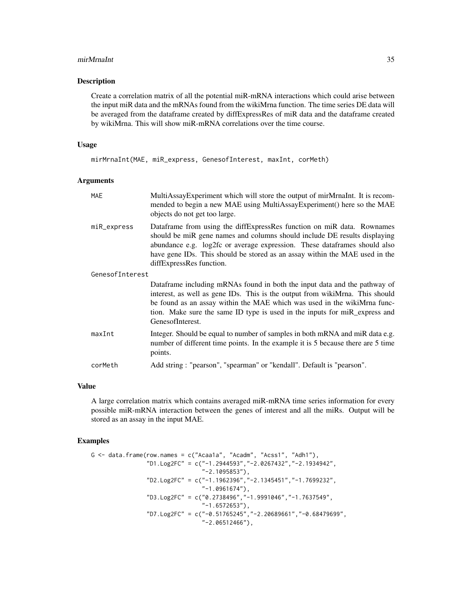#### mirMrnaInt 35

#### Description

Create a correlation matrix of all the potential miR-mRNA interactions which could arise between the input miR data and the mRNAs found from the wikiMrna function. The time series DE data will be averaged from the dataframe created by diffExpressRes of miR data and the dataframe created by wikiMrna. This will show miR-mRNA correlations over the time course.

#### Usage

mirMrnaInt(MAE, miR\_express, GenesofInterest, maxInt, corMeth)

#### Arguments

| <b>MAE</b>      | MultiAssayExperiment which will store the output of mirMrnaInt. It is recom-<br>mended to begin a new MAE using MultiAssayExperiment() here so the MAE<br>objects do not get too large.                                                                                                                                                     |
|-----------------|---------------------------------------------------------------------------------------------------------------------------------------------------------------------------------------------------------------------------------------------------------------------------------------------------------------------------------------------|
| miR_express     | Dataframe from using the diffExpressRes function on miR data. Rownames<br>should be miR gene names and columns should include DE results displaying<br>abundance e.g. log2fc or average expression. These dataframes should also<br>have gene IDs. This should be stored as an assay within the MAE used in the<br>diffExpressRes function. |
| GenesofInterest |                                                                                                                                                                                                                                                                                                                                             |
|                 | Dataframe including mRNAs found in both the input data and the pathway of<br>interest, as well as gene IDs. This is the output from wikiMrna. This should<br>be found as an assay within the MAE which was used in the wikiMrna func-<br>tion. Make sure the same ID type is used in the inputs for miR express and<br>GenesofInterest.     |
| maxInt          | Integer. Should be equal to number of samples in both mRNA and miR data e.g.<br>number of different time points. In the example it is 5 because there are 5 time<br>points.                                                                                                                                                                 |
| corMeth         | Add string: "pearson", "spearman" or "kendall". Default is "pearson".                                                                                                                                                                                                                                                                       |

#### Value

A large correlation matrix which contains averaged miR-mRNA time series information for every possible miR-mRNA interaction between the genes of interest and all the miRs. Output will be stored as an assay in the input MAE.

```
G \le data.frame(row.names = c("Acaa1a", "Acadm", "Acss1", "Adh1"),
                "D1.Log2FC" = c("-1.2944593","-2.0267432","-2.1934942",
                                 "-2.1095853"),
                "D2.Log2FC" = c("-1.1962396","-2.1345451","-1.7699232",
                                 "-1.0961674"),
                "D3.Log2FC" = c("0.2738496","-1.9991046","-1.7637549",
                                "-1.6572653"),
                "D7.Log2FC" = c("-0.51765245","-2.20689661","-0.68479699",
                                "-2.06512466"),
```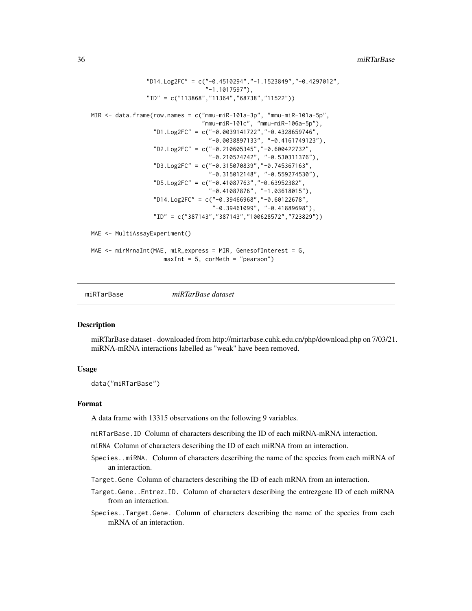```
"D14.Log2FC" = c("-0.4510294","-1.1523849","-0.4297012",
                                 "-1.1017597"),
                "ID" = c("113868","11364","68738","11522"))
MIR <- data.frame(row.names = c("mmu-miR-101a-3p", "mmu-miR-101a-5p",
                                 "mmu-miR-101c", "mmu-miR-106a-5p"),
                  "D1.Log2FC" = c("-0.0039141722","-0.4328659746",
                                   "-0.0038897133", "-0.4161749123"),
                  "D2.Log2FC" = c("-0.210605345","-0.600422732",
                                   "-0.210574742", "-0.530311376"),
                  "D3.Log2FC" = c("-0.315070839","-0.745367163",
                                   "-0.315012148", "-0.559274530"),
                  "D5.Log2FC" = c("-0.41087763","-0.63952382",
                                   "-0.41087876", "-1.03618015"),
                  "D14.Log2FC" = c("-0.39466968","-0.60122678",
                                    "-0.39461099", "-0.41889698"),
                  "ID" = c("387143","387143","100628572","723829"))
MAE <- MultiAssayExperiment()
MAE <- mirMrnaInt(MAE, miR_express = MIR, GenesofInterest = G,
                     maxInt = 5, corMeth = "pearson")
```
miRTarBase *miRTarBase dataset*

#### Description

miRTarBase dataset - downloaded from http://mirtarbase.cuhk.edu.cn/php/download.php on 7/03/21. miRNA-mRNA interactions labelled as "weak" have been removed.

#### Usage

data("miRTarBase")

#### Format

A data frame with 13315 observations on the following 9 variables.

miRTarBase.ID Column of characters describing the ID of each miRNA-mRNA interaction.

miRNA Column of characters describing the ID of each miRNA from an interaction.

- Species..miRNA. Column of characters describing the name of the species from each miRNA of an interaction.
- Target.Gene Column of characters describing the ID of each mRNA from an interaction.
- Target.Gene..Entrez.ID. Column of characters describing the entrezgene ID of each miRNA from an interaction.
- Species..Target.Gene. Column of characters describing the name of the species from each mRNA of an interaction.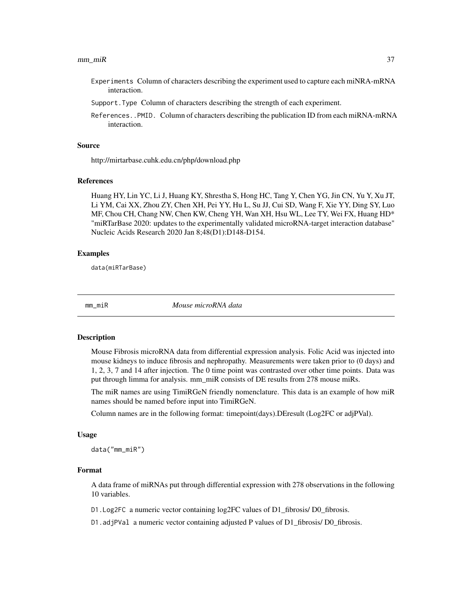#### <span id="page-36-0"></span> $mm\_miR$  37

- Experiments Column of characters describing the experiment used to capture each miNRA-mRNA interaction.
- Support.Type Column of characters describing the strength of each experiment.
- References..PMID. Column of characters describing the publication ID from each miRNA-mRNA interaction.

#### Source

http://mirtarbase.cuhk.edu.cn/php/download.php

#### References

Huang HY, Lin YC, Li J, Huang KY, Shrestha S, Hong HC, Tang Y, Chen YG, Jin CN, Yu Y, Xu JT, Li YM, Cai XX, Zhou ZY, Chen XH, Pei YY, Hu L, Su JJ, Cui SD, Wang F, Xie YY, Ding SY, Luo MF, Chou CH, Chang NW, Chen KW, Cheng YH, Wan XH, Hsu WL, Lee TY, Wei FX, Huang HD\* "miRTarBase 2020: updates to the experimentally validated microRNA-target interaction database" Nucleic Acids Research 2020 Jan 8;48(D1):D148-D154.

#### Examples

data(miRTarBase)

mm\_miR *Mouse microRNA data*

#### Description

Mouse Fibrosis microRNA data from differential expression analysis. Folic Acid was injected into mouse kidneys to induce fibrosis and nephropathy. Measurements were taken prior to (0 days) and 1, 2, 3, 7 and 14 after injection. The 0 time point was contrasted over other time points. Data was put through limma for analysis. mm\_miR consists of DE results from 278 mouse miRs.

The miR names are using TimiRGeN friendly nomenclature. This data is an example of how miR names should be named before input into TimiRGeN.

Column names are in the following format: timepoint(days).DEresult (Log2FC or adjPVal).

#### Usage

data("mm\_miR")

#### Format

A data frame of miRNAs put through differential expression with 278 observations in the following 10 variables.

D1.Log2FC a numeric vector containing log2FC values of D1\_fibrosis/ D0\_fibrosis.

D1.adjPVal a numeric vector containing adjusted P values of D1\_fibrosis/ D0\_fibrosis.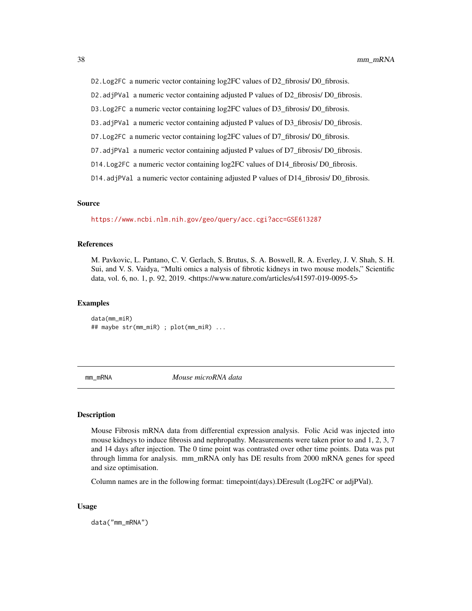<span id="page-37-0"></span>D2.Log2FC a numeric vector containing log2FC values of D2\_fibrosis/ D0\_fibrosis.

D2.adjPVal a numeric vector containing adjusted P values of D2\_fibrosis/ D0\_fibrosis.

- D3.Log2FC a numeric vector containing log2FC values of D3\_fibrosis/ D0\_fibrosis.
- D3.adjPVal a numeric vector containing adjusted P values of D3\_fibrosis/ D0\_fibrosis.
- D7. Log2FC a numeric vector containing log2FC values of D7\_fibrosis/ D0\_fibrosis.
- D7.adjPVal a numeric vector containing adjusted P values of D7\_fibrosis/ D0\_fibrosis.
- D14.Log2FC a numeric vector containing log2FC values of D14\_fibrosis/ D0\_fibrosis.
- D14.adjPVal a numeric vector containing adjusted P values of D14\_fibrosis/ D0\_fibrosis.

#### Source

<https://www.ncbi.nlm.nih.gov/geo/query/acc.cgi?acc=GSE613287>

#### References

M. Pavkovic, L. Pantano, C. V. Gerlach, S. Brutus, S. A. Boswell, R. A. Everley, J. V. Shah, S. H. Sui, and V. S. Vaidya, "Multi omics a nalysis of fibrotic kidneys in two mouse models," Scientific data, vol. 6, no. 1, p. 92, 2019. <https://www.nature.com/articles/s41597-019-0095-5>

#### Examples

data(mm\_miR) ## maybe str(mm\_miR) ; plot(mm\_miR) ...

mm\_mRNA *Mouse microRNA data*

#### Description

Mouse Fibrosis mRNA data from differential expression analysis. Folic Acid was injected into mouse kidneys to induce fibrosis and nephropathy. Measurements were taken prior to and 1, 2, 3, 7 and 14 days after injection. The 0 time point was contrasted over other time points. Data was put through limma for analysis. mm\_mRNA only has DE results from 2000 mRNA genes for speed and size optimisation.

Column names are in the following format: timepoint(days).DEresult (Log2FC or adjPVal).

#### Usage

data("mm\_mRNA")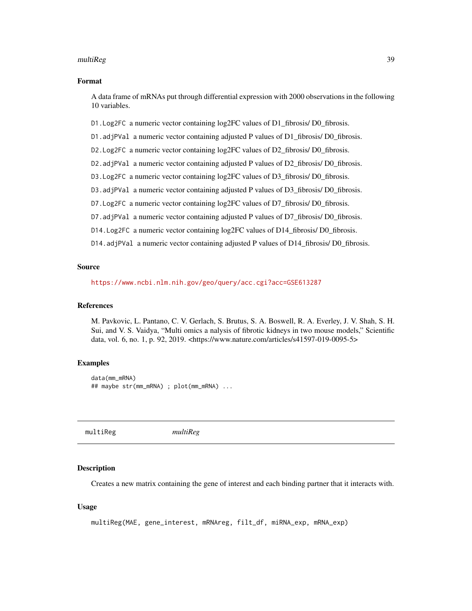#### <span id="page-38-0"></span>multiReg 39

#### Format

A data frame of mRNAs put through differential expression with 2000 observations in the following 10 variables.

D1.Log2FC a numeric vector containing log2FC values of D1\_fibrosis/ D0\_fibrosis.

D1.adjPVal a numeric vector containing adjusted P values of D1\_fibrosis/ D0\_fibrosis.

D2.Log2FC a numeric vector containing log2FC values of D2\_fibrosis/ D0\_fibrosis.

D2.adjPVal a numeric vector containing adjusted P values of D2\_fibrosis/ D0\_fibrosis.

D3.Log2FC a numeric vector containing log2FC values of D3\_fibrosis/ D0\_fibrosis.

D3.adjPVal a numeric vector containing adjusted P values of D3\_fibrosis/ D0\_fibrosis.

D7. Log2FC a numeric vector containing log2FC values of D7\_fibrosis/ D0\_fibrosis.

D7.adjPVal a numeric vector containing adjusted P values of D7\_fibrosis/ D0\_fibrosis.

D14.Log2FC a numeric vector containing log2FC values of D14 fibrosis/ D0 fibrosis.

D14.adjPVal a numeric vector containing adjusted P values of D14\_fibrosis/ D0\_fibrosis.

#### Source

<https://www.ncbi.nlm.nih.gov/geo/query/acc.cgi?acc=GSE613287>

#### References

M. Pavkovic, L. Pantano, C. V. Gerlach, S. Brutus, S. A. Boswell, R. A. Everley, J. V. Shah, S. H. Sui, and V. S. Vaidya, "Multi omics a nalysis of fibrotic kidneys in two mouse models," Scientific data, vol. 6, no. 1, p. 92, 2019. <https://www.nature.com/articles/s41597-019-0095-5>

#### Examples

data(mm\_mRNA) ## maybe str(mm\_mRNA) ; plot(mm\_mRNA) ...

multiReg *multiReg*

#### **Description**

Creates a new matrix containing the gene of interest and each binding partner that it interacts with.

#### Usage

```
multiReg(MAE, gene_interest, mRNAreg, filt_df, miRNA_exp, mRNA_exp)
```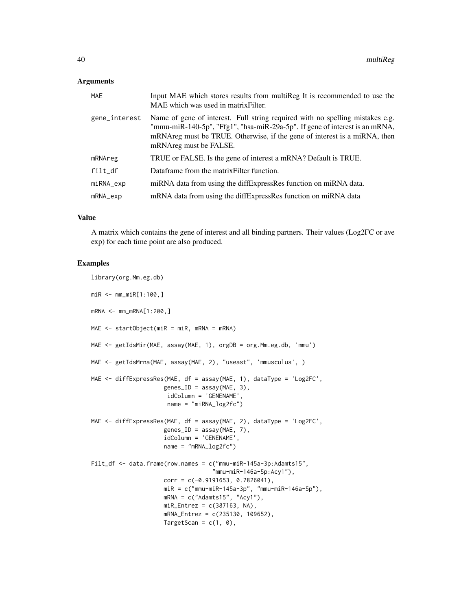#### Arguments

| <b>MAE</b>     | Input MAE which stores results from multiReg It is recommended to use the<br>MAE which was used in matrix Filter.                                                                                                                                                   |
|----------------|---------------------------------------------------------------------------------------------------------------------------------------------------------------------------------------------------------------------------------------------------------------------|
| gene_interest  | Name of gene of interest. Full string required with no spelling mistakes e.g.<br>"mmu-miR-140-5p", "Ffg1", "hsa-miR-29a-5p". If gene of interest is an mRNA,<br>mRNAreg must be TRUE. Otherwise, if the gene of interest is a miRNA, then<br>mRNAreg must be FALSE. |
| mRNAreg        | TRUE or FALSE. Is the gene of interest a mRNA? Default is TRUE.                                                                                                                                                                                                     |
| $fill\_df$     | Dataframe from the matrix Filter function.                                                                                                                                                                                                                          |
| miRNA_exp      | miRNA data from using the diffExpressRes function on miRNA data.                                                                                                                                                                                                    |
| $mRNA$ _ $exp$ | mRNA data from using the diffExpressRes function on miRNA data                                                                                                                                                                                                      |

#### Value

A matrix which contains the gene of interest and all binding partners. Their values (Log2FC or ave exp) for each time point are also produced.

```
library(org.Mm.eg.db)
miR <- mm_miR[1:100,]
mRNA <- mm_mRNA[1:200,]
MAE <- startObject(miR = miR, mRNA = mRNA)
MAE <- getIdsMir(MAE, assay(MAE, 1), orgDB = org.Mm.eg.db, 'mmu')
MAE <- getIdsMrna(MAE, assay(MAE, 2), "useast", 'mmusculus', )
MAE <- diffExpressRes(MAE, df = assay(MAE, 1), dataType = 'Log2FC',
                     genes\_ID = assay(MAE, 3),
                     idColumn = 'GENENAME',
                     name = "miRNA_log2fc")
MAE \le - diffExpressRes(MAE, df = assay(MAE, 2), dataType = 'Log2FC',
                     genes\_ID = assay(MAE, 7),idColumn = 'GENENAME',
                     name = "mRNA_log2fc")
Filt_df <- data.frame(row.names = c("mmu-miR-145a-3p:Adamts15",
                                   "mmu-miR-146a-5p:Acy1"),
                     corr = c(-0.9191653, 0.7826041),miR = c("mmu-miR-145a-3p", "mmu-miR-146a-5p"),
                     mRNA = c("Adamts15", "Acy1"),
                     miR_Entrez = c(387163, NA),mRNA_Entrez = c(235130, 109652),
                     TargetScan = c(1, 0),
```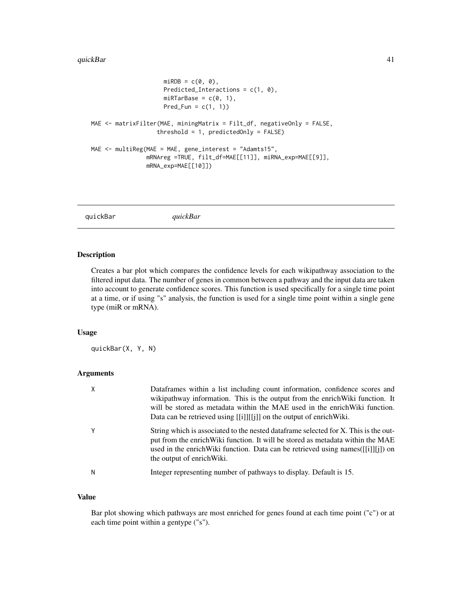```
miRDB = c(0, 0),
                     Predicted_Interactions = c(1, 0),
                     miRTarBase = c(0, 1),Pred_Fun = c(1, 1))
MAE <- matrixFilter(MAE, miningMatrix = Filt_df, negativeOnly = FALSE,
                   threshold = 1, predictedOnly = FALSE)
MAE <- multiReg(MAE = MAE, gene_interest = "Adamts15",
                mRNAreg =TRUE, filt_df=MAE[[11]], miRNA_exp=MAE[[9]],
                mRNA_exp=MAE[[10]])
```
quickBar *quickBar*

#### Description

Creates a bar plot which compares the confidence levels for each wikipathway association to the filtered input data. The number of genes in common between a pathway and the input data are taken into account to generate confidence scores. This function is used specifically for a single time point at a time, or if using "s" analysis, the function is used for a single time point within a single gene type (miR or mRNA).

### Usage

quickBar(X, Y, N)

#### Arguments

| X | Dataframes within a list including count information, confidence scores and<br>wikipathway information. This is the output from the enrich Wiki function. It<br>will be stored as metadata within the MAE used in the enrich Wiki function.<br>Data can be retrieved using $[[i]][[i]]$ on the output of enrich Wiki. |
|---|-----------------------------------------------------------------------------------------------------------------------------------------------------------------------------------------------------------------------------------------------------------------------------------------------------------------------|
| Y | String which is associated to the nested dataframe selected for X. This is the out-<br>put from the enrich Wiki function. It will be stored as metadata within the MAE<br>used in the enrich Wiki function. Data can be retrieved using names([[i]][j]) on<br>the output of enrich Wiki.                              |
| N | Integer representing number of pathways to display. Default is 15.                                                                                                                                                                                                                                                    |

#### Value

Bar plot showing which pathways are most enriched for genes found at each time point ("c") or at each time point within a gentype ("s").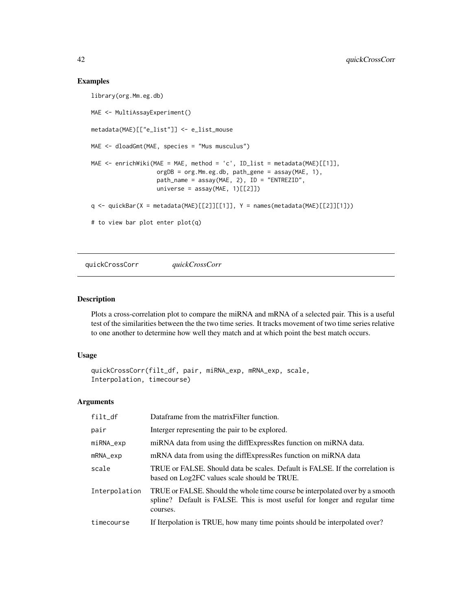#### Examples

```
library(org.Mm.eg.db)
MAE <- MultiAssayExperiment()
metadata(MAE)[["e_list"]] <- e_list_mouse
MAE <- dloadGmt(MAE, species = "Mus musculus")
MAE <- enrichWiki(MAE = MAE, method = 'c', ID_list = metadata(MAE)[[1]],
                   orgDB = org.Mm.eg.db, path_gene = assay(MAE, 1),
                   path_name = assay(MAE, 2), ID = "ENTREZID",
                   universe = assay(MAE, 1)[[2]]q <- quickBar(X = metadata(MAE)[[2]][[1]], Y = names(metadata(MAE)[[2]][1]))
# to view bar plot enter plot(q)
```
quickCrossCorr *quickCrossCorr*

#### Description

Plots a cross-correlation plot to compare the miRNA and mRNA of a selected pair. This is a useful test of the similarities between the the two time series. It tracks movement of two time series relative to one another to determine how well they match and at which point the best match occurs.

#### Usage

```
quickCrossCorr(filt_df, pair, miRNA_exp, mRNA_exp, scale,
Interpolation, timecourse)
```
#### Arguments

| filt_df       | Dataframe from the matrix Filter function.                                                                                                                            |
|---------------|-----------------------------------------------------------------------------------------------------------------------------------------------------------------------|
| pair          | Interger representing the pair to be explored.                                                                                                                        |
| miRNA_exp     | miRNA data from using the diffExpressRes function on miRNA data.                                                                                                      |
| mRNA_exp      | mRNA data from using the diffExpressRes function on miRNA data                                                                                                        |
| scale         | TRUE or FALSE. Should data be scales. Default is FALSE. If the correlation is<br>based on Log2FC values scale should be TRUE.                                         |
| Interpolation | TRUE or FALSE. Should the whole time course be interpolated over by a smooth<br>spline? Default is FALSE. This is most useful for longer and regular time<br>courses. |
| timecourse    | If Iterpolation is TRUE, how many time points should be interpolated over?                                                                                            |

<span id="page-41-0"></span>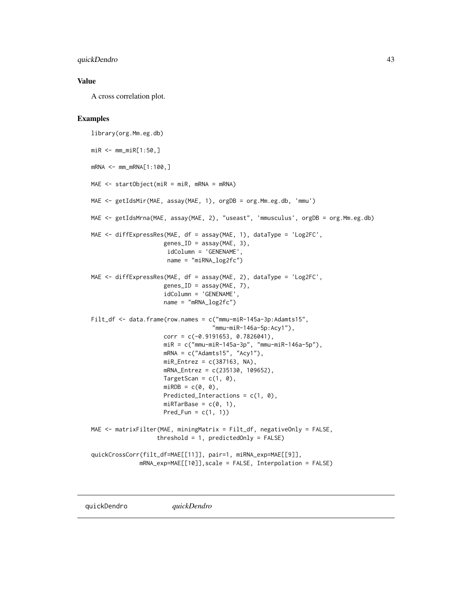#### <span id="page-42-0"></span>quickDendro 43

#### Value

A cross correlation plot.

#### Examples

```
library(org.Mm.eg.db)
miR <- mm_miR[1:50,]
mRNA <- mm_mRNA[1:100,]
MAE <- startObject(miR = miR, mRNA = mRNA)
MAE <- getIdsMir(MAE, assay(MAE, 1), orgDB = org.Mm.eg.db, 'mmu')
MAE <- getIdsMrna(MAE, assay(MAE, 2), "useast", 'mmusculus', orgDB = org.Mm.eg.db)
MAE <- diffExpressRes(MAE, df = assay(MAE, 1), dataType = 'Log2FC',
                     genes\_ID = assay(MAE, 3),idColumn = 'GENENAME',
                      name = "miRNA_log2fc")
MAE <- diffExpressRes(MAE, df = assay(MAE, 2), dataType = 'Log2FC',
                     genes_ID = assay(MAE, 7),
                     idColumn = 'GENENAME',
                     name = "mRNA_log2fc")Filt_df <- data.frame(row.names = c("mmu-miR-145a-3p:Adamts15",
                                   "mmu-miR-146a-5p:Acy1"),
                     corr = c(-0.9191653, 0.7826041),miR = c("mmu-miR-145a-3p", "mmu-miR-146a-5p"),
                     mRNA = c("Adamts15", "Acy1"),
                     miR_{\text{entrez}} = c(387163, NA),mRNA_Entrez = c(235130, 109652),
                     TargetScan = c(1, 0),
                     miRDB = c(0, 0),
                     Predicted_Interactions = c(1, 0),
                     miRTarBase = c(0, 1),
                     Pred_Fun = c(1, 1))
MAE <- matrixFilter(MAE, miningMatrix = Filt_df, negativeOnly = FALSE,
                   threshold = 1, predictedOnly = FALSE)
quickCrossCorr(filt_df=MAE[[11]], pair=1, miRNA_exp=MAE[[9]],
              mRNA_exp=MAE[[10]],scale = FALSE, Interpolation = FALSE)
```
quickDendro *quickDendro*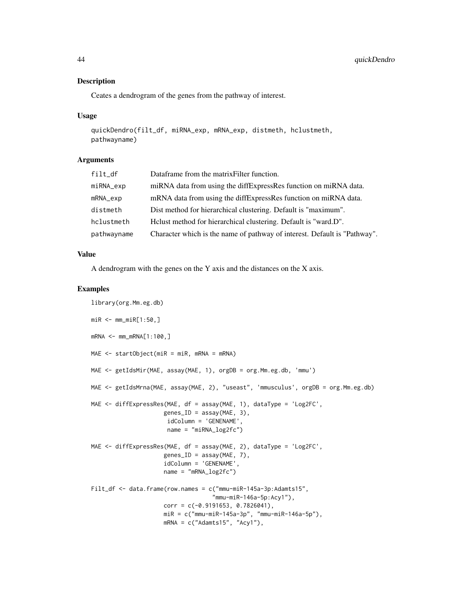#### Description

Ceates a dendrogram of the genes from the pathway of interest.

#### Usage

```
quickDendro(filt_df, miRNA_exp, mRNA_exp, distmeth, hclustmeth,
pathwayname)
```
#### Arguments

| filt_df<br>Dataframe from the matrix Filter function.                                    |  |
|------------------------------------------------------------------------------------------|--|
| miRNA data from using the diffExpressRes function on miRNA data.<br>miRNA_exp            |  |
| mRNA data from using the diffExpressRes function on miRNA data.<br>mRNA_exp              |  |
| Dist method for hierarchical clustering. Default is "maximum".<br>distmeth               |  |
| Helust method for hierarchical clustering. Default is "ward.D".<br>hclustmeth            |  |
| Character which is the name of pathway of interest. Default is "Pathway".<br>pathwayname |  |

#### Value

A dendrogram with the genes on the Y axis and the distances on the X axis.

```
library(org.Mm.eg.db)
miR <- mm\_miR[1:50,]
mRNA <- mm_mRNA[1:100,]
MAE <- startObject(miR = miR, mRNA = mRNA)
MAE <- getIdsMir(MAE, assay(MAE, 1), orgDB = org.Mm.eg.db, 'mmu')
MAE <- getIdsMrna(MAE, assay(MAE, 2), "useast", 'mmusculus', orgDB = org.Mm.eg.db)
MAE <- diffExpressRes(MAE, df = assay(MAE, 1), dataType = 'Log2FC',
                     genes_ID = assay(MAE, 3),
                     idColumn = 'GENENAME',
                     name = "miRNA_log2fc")
MAE <- diffExpressRes(MAE, df = assay(MAE, 2), dataType = 'Log2FC',
                     genes\_ID = assay(MAE, 7),idColumn = 'GENENAME',
                     name = "mRNA_log2fc")
Filt_df <- data.frame(row.names = c("mmu-miR-145a-3p:Adamts15",
                                   "mmu-miR-146a-5p:Acy1"),
                     corr = c(-0.9191653, 0.7826041),miR = c("mmu-miR-145a-3p", "mmu-miR-146a-5p"),
                     mRNA = c("Adamts15", "Acy1"),
```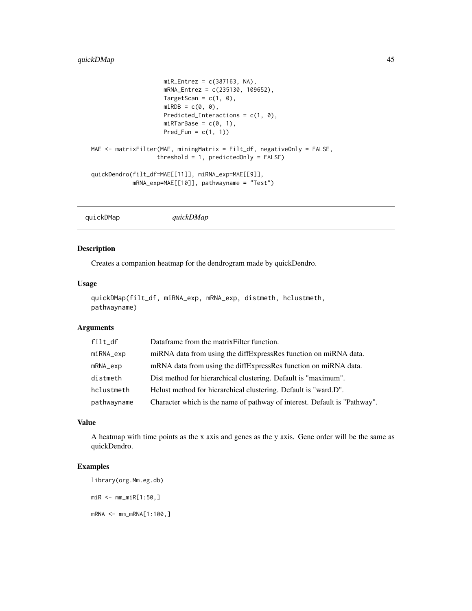```
miR_Entrez = c(387163, NA),mRNA_Entrez = c(235130, 109652),
                     TargetScan = c(1, 0),
                     miRDB = c(0, 0),
                     Predicted_Interactions = c(1, 0),
                     miRTarBase = c(0, 1),Pred_Fun = c(1, 1))MAE <- matrixFilter(MAE, miningMatrix = Filt_df, negativeOnly = FALSE,
                   threshold = 1, predictedOnly = FALSE)
quickDendro(filt_df=MAE[[11]], miRNA_exp=MAE[[9]],
            mRNA_exp=MAE[[10]], pathwayname = "Test")
```
quickDMap *quickDMap*

#### Description

Creates a companion heatmap for the dendrogram made by quickDendro.

#### Usage

```
quickDMap(filt_df, miRNA_exp, mRNA_exp, distmeth, hclustmeth,
pathwayname)
```
#### **Arguments**

| filt_df     | Dataframe from the matrix Filter function.                                |
|-------------|---------------------------------------------------------------------------|
| miRNA_exp   | miRNA data from using the diffExpressRes function on miRNA data.          |
| mRNA_exp    | mRNA data from using the diffExpressRes function on miRNA data.           |
| distmeth    | Dist method for hierarchical clustering. Default is "maximum".            |
| hclustmeth  | Helust method for hierarchical clustering. Default is "ward.D".           |
| pathwayname | Character which is the name of pathway of interest. Default is "Pathway". |

#### Value

A heatmap with time points as the x axis and genes as the y axis. Gene order will be the same as quickDendro.

#### Examples

library(org.Mm.eg.db) miR <- mm\_miR[1:50,]

mRNA <- mm\_mRNA[1:100,]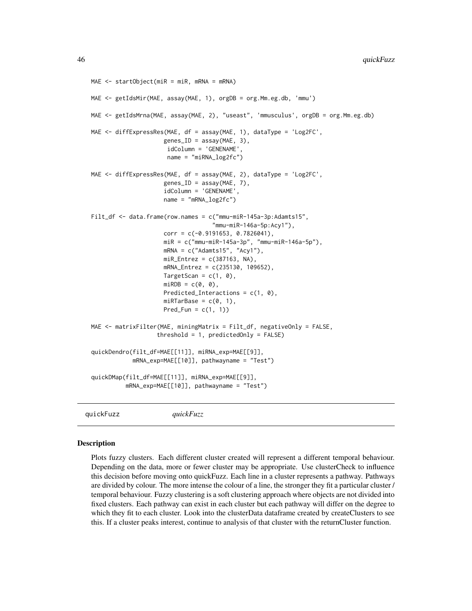```
MAE <- startObject(miR = miR, mRNA = mRNA)
MAE <- getIdsMir(MAE, assay(MAE, 1), orgDB = org.Mm.eg.db, 'mmu')
MAE <- getIdsMrna(MAE, assay(MAE, 2), "useast", 'mmusculus', orgDB = org.Mm.eg.db)
MAE <- diffExpressRes(MAE, df = assay(MAE, 1), dataType = 'Log2FC',
                     genes\_ID = assay(MAE, 3),
                      idColumn = 'GENENAME',
                      name = "miRNA_log2fc")
MAE <- diffExpressRes(MAE, df = assay(MAE, 2), dataType = 'Log2FC',
                     genes\_ID = assay(MAE, 7),idColumn = 'GENENAME',
                     name = "mRNA_log2fc")
Filt_df <- data.frame(row.names = c("mmu-miR-145a-3p:Adamts15",
                                   "mmu-miR-146a-5p:Acy1"),
                     corr = c(-0.9191653, 0.7826041),miR = c("mmu-miR-145a-3p", "mmu-miR-146a-5p"),mRNA = c("Adamts15", "Acy1"),
                     miR_Entrez = c(387163, NA),mRNA_Entrez = c(235130, 109652),
                     TargetScan = c(1, 0),
                     miRDB = c(0, 0),Predicted_Interactions = c(1, 0),
                     miRTarBase = c(0, 1),Pred_Fun = c(1, 1)MAE <- matrixFilter(MAE, miningMatrix = Filt_df, negativeOnly = FALSE,
                   threshold = 1, predictedOnly = FALSE)
quickDendro(filt_df=MAE[[11]], miRNA_exp=MAE[[9]],
            mRNA_exp=MAE[[10]], pathwayname = "Test")
quickDMap(filt_df=MAE[[11]], miRNA_exp=MAE[[9]],
          mRNA_exp=MAE[[10]], pathwayname = "Test")
```
quickFuzz *quickFuzz*

#### **Description**

Plots fuzzy clusters. Each different cluster created will represent a different temporal behaviour. Depending on the data, more or fewer cluster may be appropriate. Use clusterCheck to influence this decision before moving onto quickFuzz. Each line in a cluster represents a pathway. Pathways are divided by colour. The more intense the colour of a line, the stronger they fit a particular cluster / temporal behaviour. Fuzzy clustering is a soft clustering approach where objects are not divided into fixed clusters. Each pathway can exist in each cluster but each pathway will differ on the degree to which they fit to each cluster. Look into the clusterData dataframe created by createClusters to see this. If a cluster peaks interest, continue to analysis of that cluster with the returnCluster function.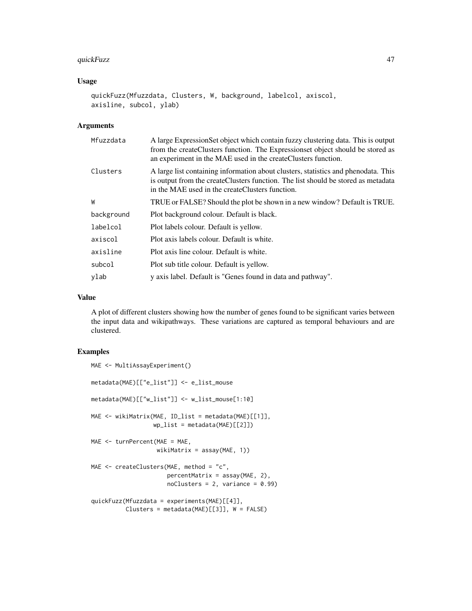#### quickFuzz 47

#### Usage

```
quickFuzz(Mfuzzdata, Clusters, W, background, labelcol, axiscol,
axisline, subcol, ylab)
```
#### Arguments

| A large Expression Set object which contain fuzzy clustering data. This is output<br>from the createClusters function. The Expressionset object should be stored as<br>an experiment in the MAE used in the createClusters function. |
|--------------------------------------------------------------------------------------------------------------------------------------------------------------------------------------------------------------------------------------|
| A large list containing information about clusters, statistics and phenodata. This<br>is output from the createClusters function. The list should be stored as metadata<br>in the MAE used in the createClusters function.           |
| TRUE or FALSE? Should the plot be shown in a new window? Default is TRUE.                                                                                                                                                            |
| Plot background colour. Default is black.                                                                                                                                                                                            |
| Plot labels colour. Default is yellow.                                                                                                                                                                                               |
| Plot axis labels colour. Default is white.                                                                                                                                                                                           |
| Plot axis line colour. Default is white.                                                                                                                                                                                             |
| Plot sub title colour. Default is yellow.                                                                                                                                                                                            |
| y axis label. Default is "Genes found in data and pathway".                                                                                                                                                                          |
|                                                                                                                                                                                                                                      |

#### Value

A plot of different clusters showing how the number of genes found to be significant varies between the input data and wikipathways. These variations are captured as temporal behaviours and are clustered.

```
MAE <- MultiAssayExperiment()
metadata(MAE)[["e_list"]] <- e_list_mouse
metadata(MAE)[["w_list"]] <- w_list_mouse[1:10]
MAE <- wikiMatrix(MAE, ID_list = metadata(MAE)[[1]],
                  wp\_list = metadata(MAE)[[2]])MAE <- turnPercent(MAE = MAE,
                  wikiMatrix = assay(MAE, 1))
MAE <- createClusters(MAE, method = "c",
                      percentMatrix = assay(MAE, 2),
                     n oClusters = 2, variance = 0.99)quickFuzz(Mfuzzdata = experiments(MAE)[[4]],
         Clusters = metadata(MAE)[[3]], W = FALSE)
```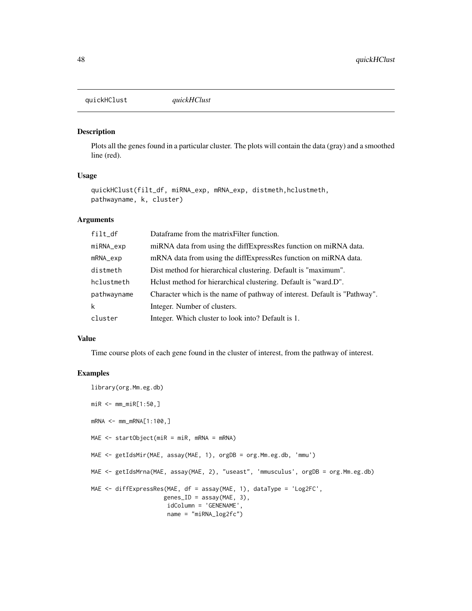<span id="page-47-0"></span>quickHClust *quickHClust*

#### Description

Plots all the genes found in a particular cluster. The plots will contain the data (gray) and a smoothed line (red).

#### Usage

```
quickHClust(filt_df, miRNA_exp, mRNA_exp, distmeth,hclustmeth,
pathwayname, k, cluster)
```
#### Arguments

| filt_df     | Dataframe from the matrix Filter function.                                |
|-------------|---------------------------------------------------------------------------|
| miRNA_exp   | miRNA data from using the diffExpressRes function on miRNA data.          |
| mRNA_exp    | mRNA data from using the diffExpressRes function on miRNA data.           |
| distmeth    | Dist method for hierarchical clustering. Default is "maximum".            |
| hclustmeth  | Helust method for hierarchical clustering. Default is "ward.D".           |
| pathwayname | Character which is the name of pathway of interest. Default is "Pathway". |
| k           | Integer. Number of clusters.                                              |
| cluster     | Integer. Which cluster to look into? Default is 1.                        |

#### Value

Time course plots of each gene found in the cluster of interest, from the pathway of interest.

```
library(org.Mm.eg.db)
miR <- mm_miR[1:50,]
mRNA <- mm_mRNA[1:100,]
MAE <- startObject(miR = miR, mRNA = mRNA)
MAE <- getIdsMir(MAE, assay(MAE, 1), orgDB = org.Mm.eg.db, 'mmu')
MAE <- getIdsMrna(MAE, assay(MAE, 2), "useast", 'mmusculus', orgDB = org.Mm.eg.db)
MAE <- diffExpressRes(MAE, df = assay(MAE, 1), dataType = 'Log2FC',
                    genes\_ID = assay(MAE, 3),
                     idColumn = 'GENENAME',
                     name = "miRNA_log2fc")
```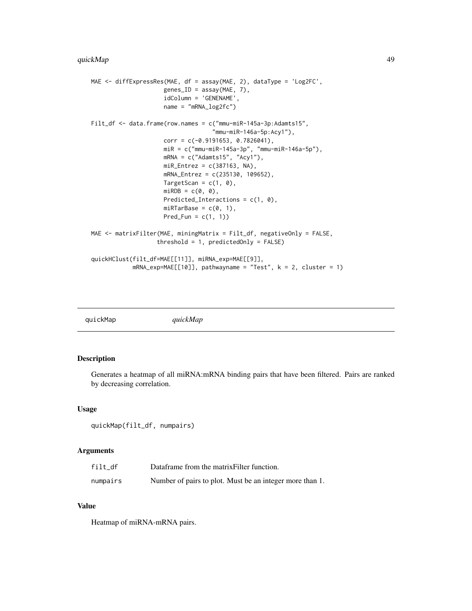```
MAE <- diffExpressRes(MAE, df = assay(MAE, 2), dataType = 'Log2FC',
                     genes\_ID = assay(MAE, 7),idColumn = 'GENENAME',
                     name = "mRNA_log2fc")
Filt_df <- data.frame(row.names = c("mmu-miR-145a-3p:Adamts15",
                                   "mmu-miR-146a-5p:Acy1"),
                     corr = c(-0.9191653, 0.7826041),
                     miR = c("mmu-miR-145a-3p", "mmu-miR-146a-5p"),
                     mRNA = c("Adamts15", "Acy1"),miR_Entrez = c(387163, NA),mRNA_Entrez = c(235130, 109652),
                     TargetScan = c(1, 0),
                     miRDB = c(0, 0),Predicted_Interactions = c(1, 0),
                     miRTarBase = c(0, 1),Pred_Fun = c(1, 1))MAE <- matrixFilter(MAE, miningMatrix = Filt_df, negativeOnly = FALSE,
                   threshold = 1, predictedOnly = FALSE)
quickHClust(filt_df=MAE[[11]], miRNA_exp=MAE[[9]],
            mRNA_exp=MAE[[10]], pathwayname = "Test", k = 2, cluster = 1)
```
quickMap *quickMap*

#### Description

Generates a heatmap of all miRNA:mRNA binding pairs that have been filtered. Pairs are ranked by decreasing correlation.

#### Usage

```
quickMap(filt_df, numpairs)
```
#### **Arguments**

| filt df  | Dataframe from the matrix Filter function.               |
|----------|----------------------------------------------------------|
| numpairs | Number of pairs to plot. Must be an integer more than 1. |

#### Value

Heatmap of miRNA-mRNA pairs.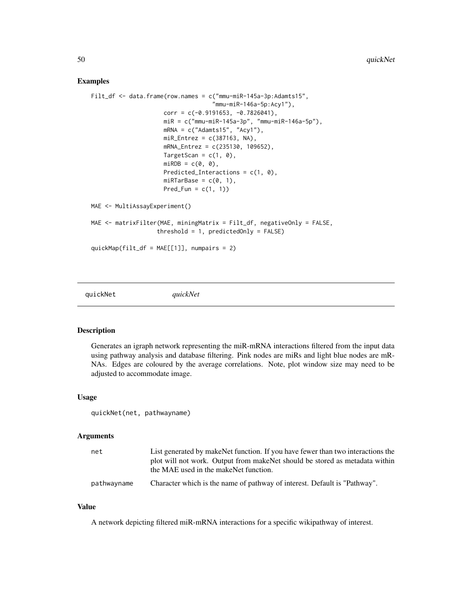#### <span id="page-49-0"></span>Examples

```
Filt_df <- data.frame(row.names = c("mmu-miR-145a-3p:Adamts15",
                                    "mmu-miR-146a-5p:Acy1"),
                     corr = c(-0.9191653, -0.7826041),miR = c("mmu-miR-145a-3p", "mmu-miR-146a-5p"),
                     mRNA = c("Adamts15", "Acy1"),
                     miR_Entrez = c(387163, NA),mRNA_Entrez = c(235130, 109652),
                     TargetScan = c(1, 0),
                     miRDB = c(\emptyset, \emptyset),Predicted_Interactions = c(1, 0),
                     miRTarBase = c(0, 1),Pred_Fun = c(1, 1))
MAE <- MultiAssayExperiment()
MAE <- matrixFilter(MAE, miningMatrix = Filt_df, negativeOnly = FALSE,
                   threshold = 1, predictedOnly = FALSE)
quickMap(filt_df = MAE[[1]], numpairs = 2)
```
quickNet *quickNet*

#### Description

Generates an igraph network representing the miR-mRNA interactions filtered from the input data using pathway analysis and database filtering. Pink nodes are miRs and light blue nodes are mR-NAs. Edges are coloured by the average correlations. Note, plot window size may need to be adjusted to accommodate image.

#### Usage

quickNet(net, pathwayname)

#### Arguments

| net         | List generated by make Net function. If you have fewer than two interactions the<br>plot will not work. Output from make Net should be stored as metadata within<br>the MAE used in the makeNet function. |
|-------------|-----------------------------------------------------------------------------------------------------------------------------------------------------------------------------------------------------------|
| pathwayname | Character which is the name of pathway of interest. Default is "Pathway".                                                                                                                                 |

#### Value

A network depicting filtered miR-mRNA interactions for a specific wikipathway of interest.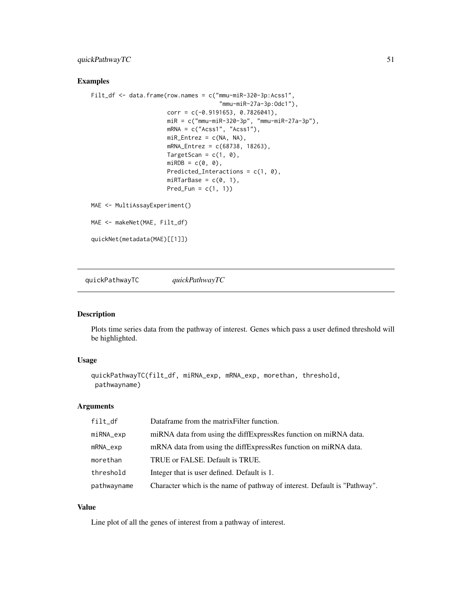#### <span id="page-50-0"></span>quickPathwayTC 51

#### Examples

```
Filt_df <- data.frame(row.names = c("mmu-miR-320-3p:Acss1",
                                     "mmu-miR-27a-3p:Odc1"),
                      corr = c(-0.9191653, 0.7826041),
                      miR = c("mmu-miR-320-3p", "mmu-miR-27a-3p"),
                      mRNA = c("Acss1", "Acss1"),miR_Entrez = c(NA, NA),mRNA_Entrez = c(68738, 18263),
                      TargetScan = c(1, 0),
                      miRDB = c(0, 0),
                      Predicted_Interactions = c(1, 0),
                      miRTarBase = c(0, 1),Pred_Fun = c(1, 1))
MAE <- MultiAssayExperiment()
MAE <- makeNet(MAE, Filt_df)
quickNet(metadata(MAE)[[1]])
```
quickPathwayTC *quickPathwayTC*

#### Description

Plots time series data from the pathway of interest. Genes which pass a user defined threshold will be highlighted.

#### Usage

```
quickPathwayTC(filt_df, miRNA_exp, mRNA_exp, morethan, threshold,
pathwayname)
```
#### Arguments

| filt df     | Dataframe from the matrix Filter function.                                |
|-------------|---------------------------------------------------------------------------|
| miRNA_exp   | miRNA data from using the diffExpressRes function on miRNA data.          |
| mRNA_exp    | mRNA data from using the diffExpressRes function on miRNA data.           |
| morethan    | TRUE or FALSE. Default is TRUE.                                           |
| threshold   | Integer that is user defined. Default is 1.                               |
| pathwayname | Character which is the name of pathway of interest. Default is "Pathway". |

#### Value

Line plot of all the genes of interest from a pathway of interest.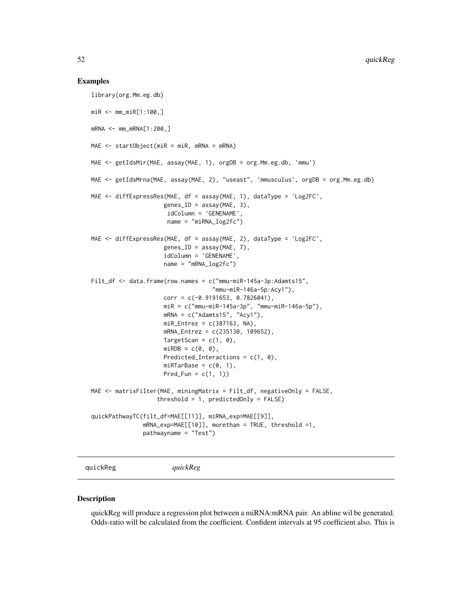#### Examples

```
library(org.Mm.eg.db)
miR <- mm_miR[1:100,]
mRNA < - mm_mRNA[1:200, ]MAE <- startObject(miR = miR, mRNA = mRNA)
MAE <- getIdsMir(MAE, assay(MAE, 1), orgDB = org.Mm.eg.db, 'mmu')
MAE <- getIdsMrna(MAE, assay(MAE, 2), "useast", 'mmusculus', orgDB = org.Mm.eg.db)
MAE <- diffExpressRes(MAE, df = assay(MAE, 1), dataType = 'Log2FC',
                     genes\_ID = assay(MAE, 3),
                      idColumn = 'GENENAME',
                      name = "miRNA_log2fc")
MAE <- diffExpressRes(MAE, df = assay(MAE, 2), dataType = 'Log2FC',
                     genes_ID = assay(MAE, 7),
                     idColumn = 'GENENAME',
                     name = "mRNA_log2fc")
Filt_df <- data.frame(row.names = c("mmu-miR-145a-3p:Adamts15",
                                   "mmu-miR-146a-5p:Acy1"),
                     corr = c(-0.9191653, 0.7826041),
                     miR = c("mmu-miR-145a-3p", "mmu-miR-146a-5p"),
                     mRNA = c("Adamts15", "Acy1"),miR_{\text{entrez}} = c(387163, NA),mRNA_Entrez = c(235130, 109652),
                     TargetScan = c(1, 0),
                     miRDB = c(0, 0),Predicted_Interactions = c(1, 0),
                     miRTarBase = c(0, 1),Pred_Fun = c(1, 1))
MAE <- matrixFilter(MAE, miningMatrix = Filt_df, negativeOnly = FALSE,
                   threshold = 1, predictedOnly = FALSE)
quickPathwayTC(filt_df=MAE[[11]], miRNA_exp=MAE[[9]],
               mRNA_exp=MAE[[10]], morethan = TRUE, threshold =1,
               pathwayname = "Test")
```
quickReg *quickReg*

#### Description

quickReg will produce a regression plot between a miRNA:mRNA pair. An abline wil be generated. Odds-ratio will be calculated from the coefficient. Confident intervals at 95 coefficient also. This is

<span id="page-51-0"></span>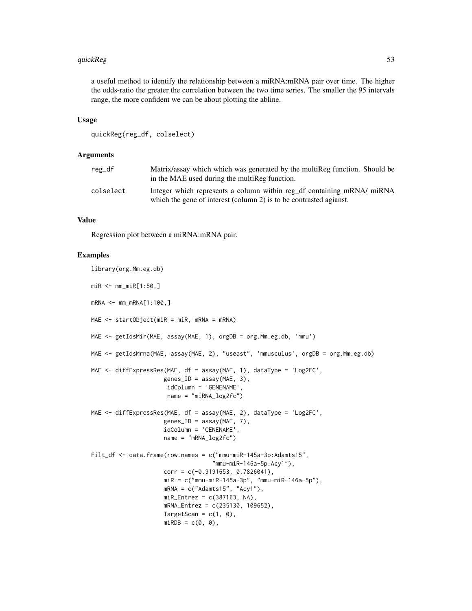#### quickReg 53

a useful method to identify the relationship between a miRNA:mRNA pair over time. The higher the odds-ratio the greater the correlation between the two time series. The smaller the 95 intervals range, the more confident we can be about plotting the abline.

#### Usage

```
quickReg(reg_df, colselect)
```
#### Arguments

| $reg_d$   | Matrix/assay which which was generated by the multiReg function. Should be<br>in the MAE used during the multiReg function.                  |
|-----------|----------------------------------------------------------------------------------------------------------------------------------------------|
| colselect | Integer which represents a column within reg df containing mRNA/ miRNA<br>which the gene of interest (column 2) is to be contrasted agianst. |

#### Value

Regression plot between a miRNA:mRNA pair.

```
library(org.Mm.eg.db)
miR <- mm\_miR[1:50,]
mRNA <- mm_mRNA[1:100,]
MAE \leq startObject(miR = miR, mRNA = mRNA)
MAE <- getIdsMir(MAE, assay(MAE, 1), orgDB = org.Mm.eg.db, 'mmu')
MAE <- getIdsMrna(MAE, assay(MAE, 2), "useast", 'mmusculus', orgDB = org.Mm.eg.db)
MAE \le diffExpressRes(MAE, df = assay(MAE, 1), dataType = 'Log2FC',
                     genes\_ID = assay(MAE, 3),
                      idColumn = 'GENENAME',
                     name = "miRNA_log2fc")
MAE <- diffExpressRes(MAE, df = assay(MAE, 2), dataType = 'Log2FC',
                     genes\_ID = assay(MAE, 7),
                     idColumn = 'GENENAME',
                     name = "mRNA_log2fc")Filt_df <- data.frame(row.names = c("mmu-miR-145a-3p:Adamts15",
                                   "mmu-miR-146a-5p:Acy1"),
                     corr = c(-0.9191653, 0.7826041),miR = c("mmu-miR-145a-3p", "mmu-miR-146a-5p"),
                     mRNA = c("Adamts15", "Acy1"),
                     miR_Entrez = c(387163, NA),mRNA_Entrez = c(235130, 109652),
                     TargetScan = c(1, 0),
                     miRDB = c(0, 0),
```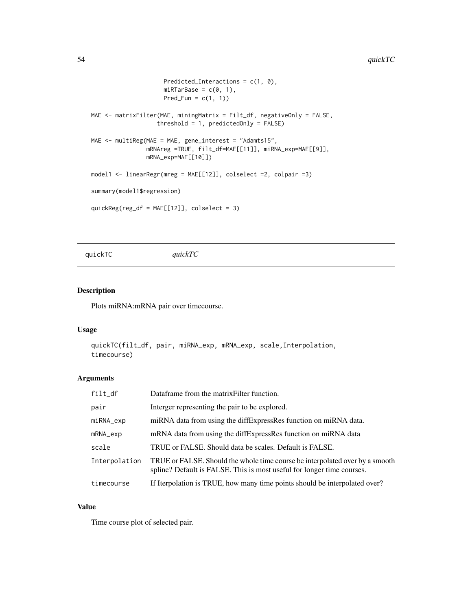```
Predicted_Interactions = c(1, 0),
                     miRTarBase = c(0, 1),Pred_Fun = c(1, 1))
MAE <- matrixFilter(MAE, miningMatrix = Filt_df, negativeOnly = FALSE,
                   threshold = 1, predictedOnly = FALSE)
MAE <- multiReg(MAE = MAE, gene_interest = "Adamts15",
                mRNAreg =TRUE, filt_df=MAE[[11]], miRNA_exp=MAE[[9]],
                mRNA_exp=MAE[[10]])
model1 <- linearRegr(mreg = MAE[[12]], colselect =2, colpair =3)
summary(model1$regression)
quickReg(reg_df = MAE[[12]], colselect = 3)
```
quickTC *quickTC*

#### Description

Plots miRNA:mRNA pair over timecourse.

#### Usage

```
quickTC(filt_df, pair, miRNA_exp, mRNA_exp, scale,Interpolation,
timecourse)
```
#### Arguments

| filt_df       | Dataframe from the matrix Filter function.                                                                                                             |
|---------------|--------------------------------------------------------------------------------------------------------------------------------------------------------|
| pair          | Interger representing the pair to be explored.                                                                                                         |
| miRNA_exp     | miRNA data from using the diffExpressRes function on miRNA data.                                                                                       |
| mRNA_exp      | mRNA data from using the diffExpressRes function on miRNA data                                                                                         |
| scale         | TRUE or FALSE. Should data be scales. Default is FALSE.                                                                                                |
| Interpolation | TRUE or FALSE. Should the whole time course be interpolated over by a smooth<br>spline? Default is FALSE. This is most useful for longer time courses. |
| timecourse    | If Iterpolation is TRUE, how many time points should be interpolated over?                                                                             |

#### Value

Time course plot of selected pair.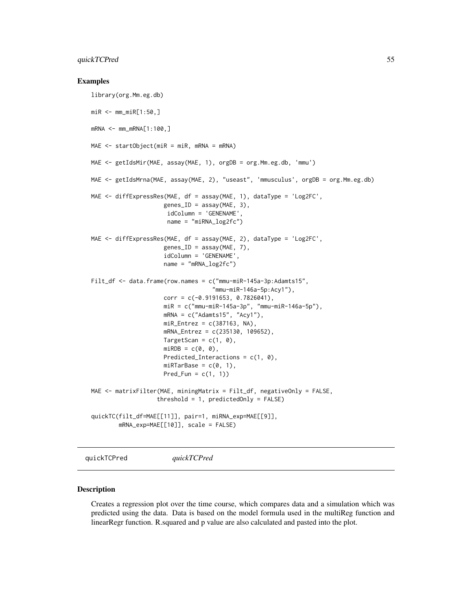#### <span id="page-54-0"></span>quickTCPred 55

#### Examples

```
library(org.Mm.eg.db)
miR <- mm_miR[1:50,]
mRNA < - mm_mRNA[1:100, ]MAE \leq startObject(miR = miR, mRNA = mRNA)
MAE <- getIdsMir(MAE, assay(MAE, 1), orgDB = org.Mm.eg.db, 'mmu')
MAE <- getIdsMrna(MAE, assay(MAE, 2), "useast", 'mmusculus', orgDB = org.Mm.eg.db)
MAE <- diffExpressRes(MAE, df = assay(MAE, 1), dataType = 'Log2FC',
                     genes\_ID = assay(MAE, 3),
                      idColumn = 'GENENAME',
                      name = "miRNA_log2fc")
MAE <- diffExpressRes(MAE, df = assay(MAE, 2), dataType = 'Log2FC',
                     genes_ID = assay(MAE, 7),
                     idColumn = 'GENENAME',
                     name = "mRNA_log2fc")
Filt_df <- data.frame(row.names = c("mmu-miR-145a-3p:Adamts15",
                                    "mmu-miR-146a-5p:Acy1"),
                     corr = c(-0.9191653, 0.7826041),
                     miR = c("mmu-miR-145a-3p", "mmu-miR-146a-5p"),
                     mRNA = c("Adamts15", "Acy1"),miR_{\text{entrez}} = c(387163, NA),mRNA_Entrez = c(235130, 109652),
                     TargetScan = c(1, 0),
                     miRDB = c(0, 0),Predicted_Interactions = c(1, 0),
                     miRTarBase = c(0, 1),Pred_Fun = c(1, 1))
MAE <- matrixFilter(MAE, miningMatrix = Filt_df, negativeOnly = FALSE,
                   threshold = 1, predictedOnly = FALSE)
quickTC(filt_df=MAE[[11]], pair=1, miRNA_exp=MAE[[9]],
        mRNA_exp=MAE[[10]], scale = FALSE)
```
quickTCPred *quickTCPred*

#### Description

Creates a regression plot over the time course, which compares data and a simulation which was predicted using the data. Data is based on the model formula used in the multiReg function and linearRegr function. R.squared and p value are also calculated and pasted into the plot.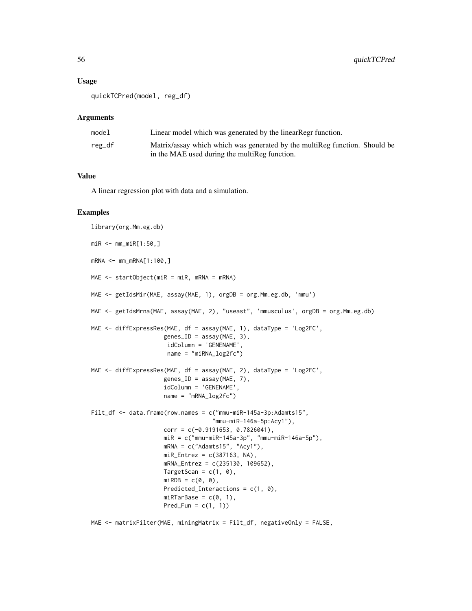#### Usage

quickTCPred(model, reg\_df)

#### Arguments

| model  | Linear model which was generated by the linear Regr function.              |
|--------|----------------------------------------------------------------------------|
| reg_df | Matrix/assay which which was generated by the multiReg function. Should be |
|        | in the MAE used during the multiReg function.                              |

#### Value

A linear regression plot with data and a simulation.

```
library(org.Mm.eg.db)
miR <- mm_miR[1:50,]
mRNA <- mm_mRNA[1:100,]
MAE <- startObject(miR = miR, mRNA = mRNA)
MAE <- getIdsMir(MAE, assay(MAE, 1), orgDB = org.Mm.eg.db, 'mmu')
MAE <- getIdsMrna(MAE, assay(MAE, 2), "useast", 'mmusculus', orgDB = org.Mm.eg.db)
MAE <- diffExpressRes(MAE, df = assay(MAE, 1), dataType = 'Log2FC',
                     genes_ID = assay(MAE, 3),
                     idColumn = 'GENENAME',
                     name = "miRNA_log2fc")
MAE \le diffExpressRes(MAE, df = assay(MAE, 2), dataType = 'Log2FC',
                     genes\_ID = assay(MAE, 7),idColumn = 'GENENAME',
                     name = "mRNA_log2fc")Filt_df <- data.frame(row.names = c("mmu-miR-145a-3p:Adamts15",
                                   "mmu-miR-146a-5p:Acy1"),
                     corr = c(-0.9191653, 0.7826041),miR = c("mmu-miR-145a-3p", "mmu-miR-146a-5p"),
                     mRNA = c("Adamts15", "Acy1"),
                     miR_Entrez = c(387163, NA),mRNA_Entrez = c(235130, 109652),
                     TargetScan = c(1, 0),
                     miRDB = c(0, 0),Predicted_Interactions = c(1, 0),
                     miRTarBase = c(0, 1),Pred_Fun = c(1, 1))
```

```
MAE <- matrixFilter(MAE, miningMatrix = Filt_df, negativeOnly = FALSE,
```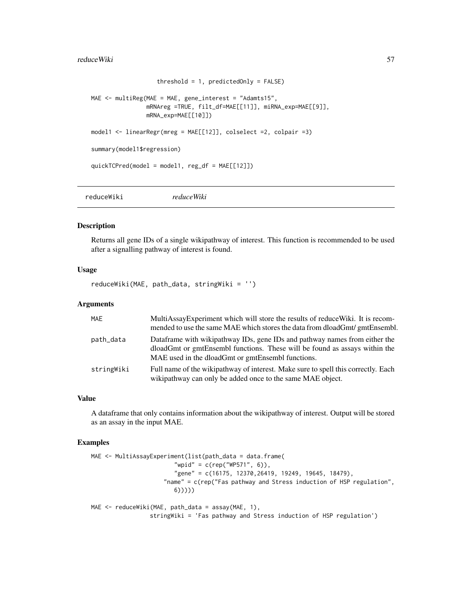#### <span id="page-56-0"></span>reduceWiki 57

```
threshold = 1, predictedOnly = FALSE)
MAE <- multiReg(MAE = MAE, gene_interest = "Adamts15",
                mRNAreg =TRUE, filt_df=MAE[[11]], miRNA_exp=MAE[[9]],
                mRNA_exp=MAE[[10]])
model1 <- linearRegr(mreg = MAE[[12]], colselect =2, colpair =3)
summary(model1$regression)
quickTCPred(model = model1, reg_df = MAE[[12]])
```
reduceWiki *reduceWiki*

#### Description

Returns all gene IDs of a single wikipathway of interest. This function is recommended to be used after a signalling pathway of interest is found.

#### Usage

reduceWiki(MAE, path\_data, stringWiki = '')

#### Arguments

| MAE        | MultiAssayExperiment which will store the results of reduceWiki. It is recom-<br>mended to use the same MAE which stores the data from dloadGmt/gmtEnsembl.                                                   |
|------------|---------------------------------------------------------------------------------------------------------------------------------------------------------------------------------------------------------------|
| path_data  | Dataframe with wikipathway IDs, gene IDs and pathway names from either the<br>dloadGmt or gmtEnsembl functions. These will be found as assays within the<br>MAE used in the dloadGmt or gmtEnsembl functions. |
| stringWiki | Full name of the wikipathway of interest. Make sure to spell this correctly. Each<br>wikipathway can only be added once to the same MAE object.                                                               |

#### Value

A dataframe that only contains information about the wikipathway of interest. Output will be stored as an assay in the input MAE.

```
MAE <- MultiAssayExperiment(list(path_data = data.frame(
                        "wpid" = c(rep("WP571", 6)),
                        "gene" = c(16175, 12370,26419, 19249, 19645, 18479),
                     "name" = c(rep("Fas pathway and Stress induction of HSP regulation",
                        6)))))
MAE <- reduceWiki(MAE, path_data = assay(MAE, 1),
                 stringWiki = 'Fas pathway and Stress induction of HSP regulation')
```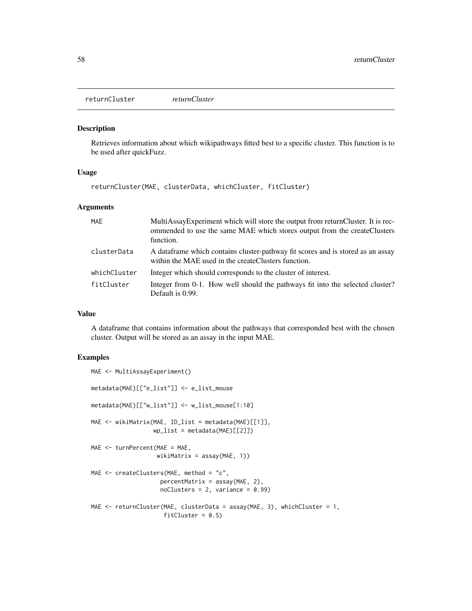<span id="page-57-0"></span>returnCluster *returnCluster*

#### Description

Retrieves information about which wikipathways fitted best to a specific cluster. This function is to be used after quickFuzz.

#### Usage

returnCluster(MAE, clusterData, whichCluster, fitCluster)

#### Arguments

| MAE          | MultiAssayExperiment which will store the output from returnCluster. It is rec-<br>ommended to use the same MAE which stores output from the createClusters<br>function. |
|--------------|--------------------------------------------------------------------------------------------------------------------------------------------------------------------------|
| clusterData  | A data frame which contains cluster-pathway fit scores and is stored as an assay<br>within the MAE used in the create Clusters function.                                 |
| whichCluster | Integer which should corresponds to the cluster of interest.                                                                                                             |
| fitCluster   | Integer from 0-1. How well should the pathways fit into the selected cluster?<br>Default is 0.99.                                                                        |

#### Value

A dataframe that contains information about the pathways that corresponded best with the chosen cluster. Output will be stored as an assay in the input MAE.

```
MAE <- MultiAssayExperiment()
metadata(MAE)[["e_list"]] <- e_list_mouse
metadata(MAE)[["w_list"]] <- w_list_mouse[1:10]
MAE <- wikiMatrix(MAE, ID_list = metadata(MAE)[[1]],
                  wp\_list = metadata(MAE)[[2]])MAE <- turnPercent(MAE = MAE,
                   wikiMatrix = assay(MAE, 1))
MAE <- createClusters(MAE, method = "c",
                    percentMatrix = assay(MAE, 2),
                    noClusters = 2, variance = 0.99)
MAE <- returnCluster(MAE, clusterData = assay(MAE, 3), whichCluster = 1,
                     fitCluster = 0.5)
```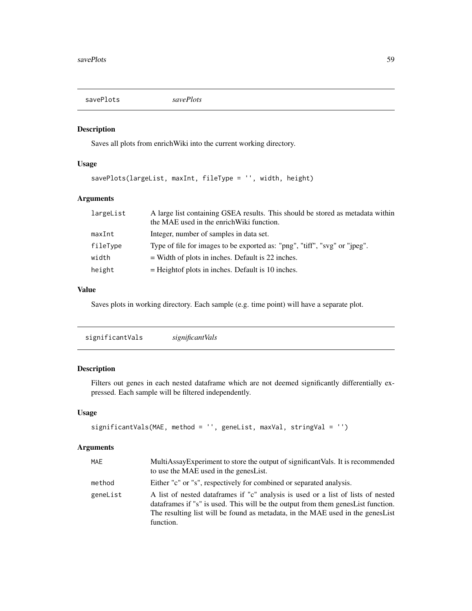<span id="page-58-0"></span>

#### Description

Saves all plots from enrichWiki into the current working directory.

#### Usage

```
savePlots(largeList, maxInt, fileType = '', width, height)
```
#### Arguments

| largeList | A large list containing GSEA results. This should be stored as metadata within<br>the MAE used in the enrich Wiki function. |
|-----------|-----------------------------------------------------------------------------------------------------------------------------|
| maxInt    | Integer, number of samples in data set.                                                                                     |
| fileType  | Type of file for images to be exported as: "png", "tiff", "svg" or "jpeg".                                                  |
| width     | $=$ Width of plots in inches. Default is 22 inches.                                                                         |
| height    | $=$ Height of plots in inches. Default is 10 inches.                                                                        |

#### Value

Saves plots in working directory. Each sample (e.g. time point) will have a separate plot.

### Description

Filters out genes in each nested dataframe which are not deemed significantly differentially expressed. Each sample will be filtered independently.

#### Usage

```
significantVals(MAE, method = '', geneList, maxVal, stringVal = '')
```
#### Arguments

| <b>MAE</b> | MultiAssayExperiment to store the output of significantVals. It is recommended<br>to use the MAE used in the genesList.                                                                                                                                               |
|------------|-----------------------------------------------------------------------------------------------------------------------------------------------------------------------------------------------------------------------------------------------------------------------|
| method     | Either "c" or "s", respectively for combined or separated analysis.                                                                                                                                                                                                   |
| geneList   | A list of nested dataframes if "c" analysis is used or a list of lists of nested<br>data frames if "s" is used. This will be the output from them genes List function.<br>The resulting list will be found as metadata, in the MAE used in the genesList<br>function. |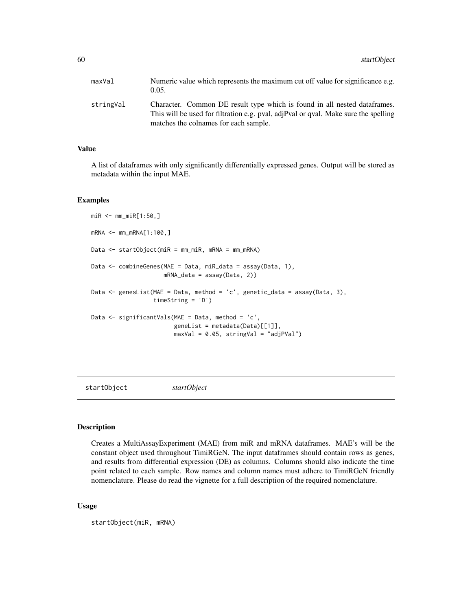<span id="page-59-0"></span>

| Character. Common DE result type which is found in all nested data frames.<br>This will be used for filtration e.g. pval, adjPval or qval. Make sure the spelling<br>matches the colnames for each sample. |
|------------------------------------------------------------------------------------------------------------------------------------------------------------------------------------------------------------|
|                                                                                                                                                                                                            |

#### Value

A list of dataframes with only significantly differentially expressed genes. Output will be stored as metadata within the input MAE.

#### Examples

```
miR <- mm_miR[1:50,]
mRNA <- mm_mRNA[1:100,]
Data <- startObject(miR = mm_miR, mRNA = mm_mRNA)
Data <- combineGenes(MAE = Data, miR_data = assay(Data, 1),
                     mRNA_data = assay(Data, 2))
Data <- genesList(MAE = Data, method = 'c', genetic_data = assay(Data, 3),
                  timeString = 'D')
Data <- significantVals(MAE = Data, method = 'c',
                        geneList = metadata(Data)[[1]],
                        maxVal = 0.05, stringVal = "adjPVal")
```
startObject *startObject*

#### Description

Creates a MultiAssayExperiment (MAE) from miR and mRNA dataframes. MAE's will be the constant object used throughout TimiRGeN. The input dataframes should contain rows as genes, and results from differential expression (DE) as columns. Columns should also indicate the time point related to each sample. Row names and column names must adhere to TimiRGeN friendly nomenclature. Please do read the vignette for a full description of the required nomenclature.

#### Usage

startObject(miR, mRNA)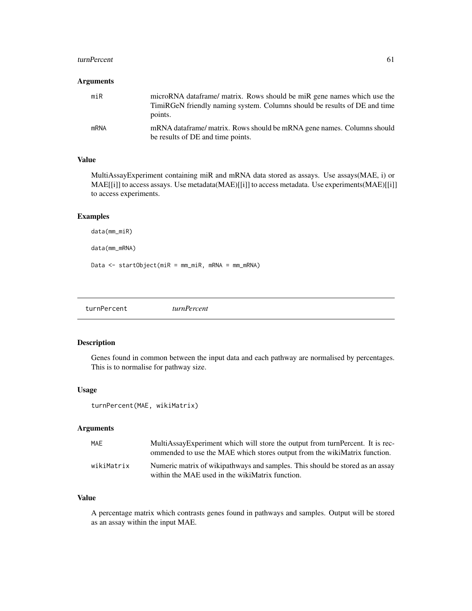#### <span id="page-60-0"></span>turnPercent 61

#### Arguments

| miR         | microRNA dataframe/ matrix. Rows should be miR gene names which use the<br>TimiRGeN friendly naming system. Columns should be results of DE and time<br>points. |
|-------------|-----------------------------------------------------------------------------------------------------------------------------------------------------------------|
| <b>mRNA</b> | mRNA dataframe/matrix. Rows should be mRNA gene names. Columns should<br>be results of DE and time points.                                                      |

#### Value

MultiAssayExperiment containing miR and mRNA data stored as assays. Use assays(MAE, i) or MAE[[i]] to access assays. Use metadata(MAE)[[i]] to access metadata. Use experiments(MAE)[[i]] to access experiments.

#### Examples

data(mm\_miR)

data(mm\_mRNA)

Data <- startObject(miR = mm\_miR, mRNA = mm\_mRNA)

turnPercent *turnPercent*

#### Description

Genes found in common between the input data and each pathway are normalised by percentages. This is to normalise for pathway size.

#### Usage

```
turnPercent(MAE, wikiMatrix)
```
#### Arguments

| MAE        | MultiAssayExperiment which will store the output from turnPercent. It is rec-<br>ommended to use the MAE which stores output from the wikiMatrix function. |
|------------|------------------------------------------------------------------------------------------------------------------------------------------------------------|
| wikiMatrix | Numeric matrix of wikipathways and samples. This should be stored as an assay<br>within the MAE used in the wikiMatrix function.                           |

#### Value

A percentage matrix which contrasts genes found in pathways and samples. Output will be stored as an assay within the input MAE.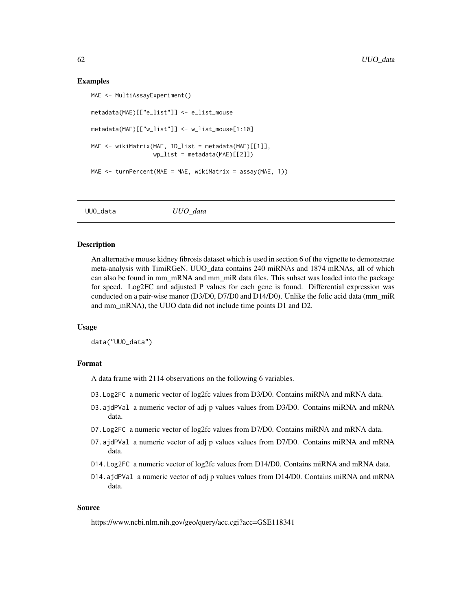#### Examples

```
MAE <- MultiAssayExperiment()
metadata(MAE)[["e_list"]] <- e_list_mouse
metadata(MAE)[["w_list"]] <- w_list_mouse[1:10]
MAE <- wikiMatrix(MAE, ID_list = metadata(MAE)[[1]],
                  wp_list = metadata(MAE)[[2]])MAE <- turnPercent(MAE = MAE, wikiMatrix = assay(MAE, 1))
```
UUO\_data *UUO\_data*

#### Description

An alternative mouse kidney fibrosis dataset which is used in section 6 of the vignette to demonstrate meta-analysis with TimiRGeN. UUO\_data contains 240 miRNAs and 1874 mRNAs, all of which can also be found in mm\_mRNA and mm\_miR data files. This subset was loaded into the package for speed. Log2FC and adjusted P values for each gene is found. Differential expression was conducted on a pair-wise manor (D3/D0, D7/D0 and D14/D0). Unlike the folic acid data (mm\_miR and mm\_mRNA), the UUO data did not include time points D1 and D2.

#### Usage

data("UUO\_data")

#### Format

A data frame with 2114 observations on the following 6 variables.

- D3.Log2FC a numeric vector of log2fc values from D3/D0. Contains miRNA and mRNA data.
- D3.ajdPVal a numeric vector of adj p values values from D3/D0. Contains miRNA and mRNA data.
- D7.Log2FC a numeric vector of log2fc values from D7/D0. Contains miRNA and mRNA data.
- D7.ajdPVal a numeric vector of adj p values values from D7/D0. Contains miRNA and mRNA data.
- D14.Log2FC a numeric vector of log2fc values from D14/D0. Contains miRNA and mRNA data.
- D14.ajdPVal a numeric vector of adj p values values from D14/D0. Contains miRNA and mRNA data.

#### Source

https://www.ncbi.nlm.nih.gov/geo/query/acc.cgi?acc=GSE118341

<span id="page-61-0"></span>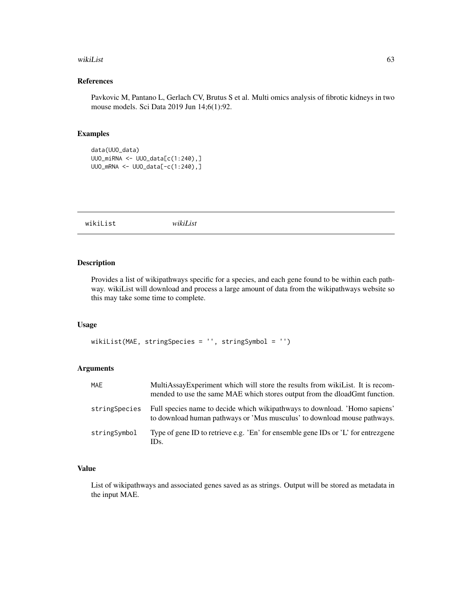#### <span id="page-62-0"></span>wikiList 63

#### References

Pavkovic M, Pantano L, Gerlach CV, Brutus S et al. Multi omics analysis of fibrotic kidneys in two mouse models. Sci Data 2019 Jun 14;6(1):92.

#### Examples

```
data(UUO_data)
UUO_miRNA <- UUO_data[c(1:240),]
UUO_mRNA <- UUO_data[-c(1:240),]
```
wikiList *wikiList*

#### Description

Provides a list of wikipathways specific for a species, and each gene found to be within each pathway. wikiList will download and process a large amount of data from the wikipathways website so this may take some time to complete.

#### Usage

```
wikiList(MAE, stringSpecies = '', stringSymbol = '')
```
#### Arguments

| <b>MAE</b>    | MultiAssayExperiment which will store the results from wikiList. It is recom-<br>mended to use the same MAE which stores output from the dloadGmt function. |
|---------------|-------------------------------------------------------------------------------------------------------------------------------------------------------------|
| stringSpecies | Full species name to decide which wikipathways to download. 'Homo sapiens'<br>to download human pathways or 'Mus musculus' to download mouse pathways.      |
| stringSymbol  | Type of gene ID to retrieve e.g. 'En' for ensemble gene IDs or 'L' for entrezgene<br>IDs.                                                                   |

#### Value

List of wikipathways and associated genes saved as as strings. Output will be stored as metadata in the input MAE.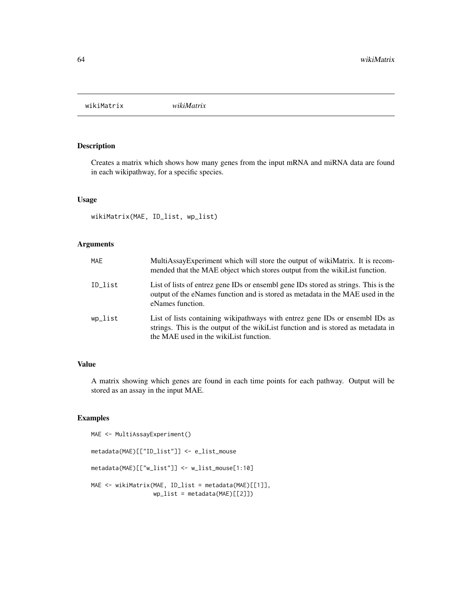<span id="page-63-0"></span>wikiMatrix *wikiMatrix*

### Description

Creates a matrix which shows how many genes from the input mRNA and miRNA data are found in each wikipathway, for a specific species.

#### Usage

wikiMatrix(MAE, ID\_list, wp\_list)

#### Arguments

| <b>MAE</b> | MultiAssayExperiment which will store the output of wikiMatrix. It is recom-<br>mended that the MAE object which stores output from the wikiList function.                                                   |
|------------|--------------------------------------------------------------------------------------------------------------------------------------------------------------------------------------------------------------|
| ID list    | List of lists of entrez gene IDs or ensembl gene IDs stored as strings. This is the<br>output of the eNames function and is stored as metadata in the MAE used in the<br>eNames function.                    |
| wp_list    | List of lists containing wikipathways with entrez gene IDs or ensembl IDs as<br>strings. This is the output of the wikillist function and is stored as metadata in<br>the MAE used in the wikiList function. |

#### Value

A matrix showing which genes are found in each time points for each pathway. Output will be stored as an assay in the input MAE.

```
MAE <- MultiAssayExperiment()
metadata(MAE)[["ID_list"]] <- e_list_mouse
metadata(MAE)[["w_list"]] <- w_list_mouse[1:10]
MAE <- wikiMatrix(MAE, ID_list = metadata(MAE)[[1]],
                 wp_list = metadata(MAE)[[2]])
```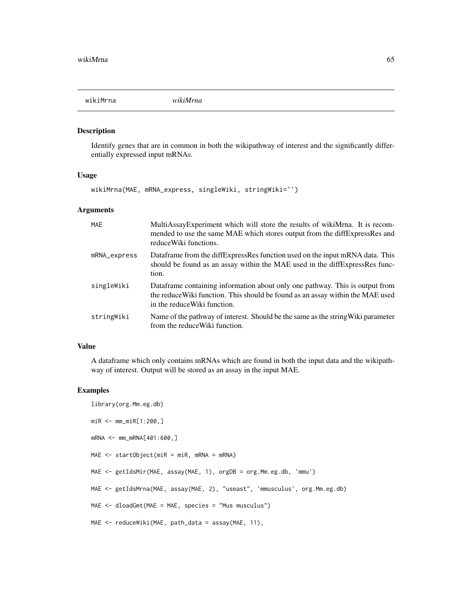<span id="page-64-0"></span>

#### Description

Identify genes that are in common in both the wikipathway of interest and the significantly differentially expressed input mRNAs.

#### Usage

wikiMrna(MAE, mRNA\_express, singleWiki, stringWiki='')

#### Arguments

| MAE          | MultiAssayExperiment which will store the results of wikiMrna. It is recom-<br>mended to use the same MAE which stores output from the diffExpressRes and<br>reduce Wiki functions.             |
|--------------|-------------------------------------------------------------------------------------------------------------------------------------------------------------------------------------------------|
| mRNA_express | Dataframe from the diffExpressRes function used on the input mRNA data. This<br>should be found as an assay within the MAE used in the diffExpressRes func-<br>tion.                            |
| singleWiki   | Data frame containing information about only one pathway. This is output from<br>the reduce Wiki function. This should be found as an assay within the MAE used<br>in the reduce Wiki function. |
| stringWiki   | Name of the pathway of interest. Should be the same as the string Wiki parameter<br>from the reduce Wiki function.                                                                              |

#### Value

A dataframe which only contains mRNAs which are found in both the input data and the wikipathway of interest. Output will be stored as an assay in the input MAE.

```
library(org.Mm.eg.db)
miR <- mm_miR[1:200,]
mRNA <- mm_mRNA[401:600,]
MAE \leq startObject(miR = miR, mRNA = mRNA)
MAE <- getIdsMir(MAE, assay(MAE, 1), orgDB = org.Mm.eg.db, 'mmu')
MAE <- getIdsMrna(MAE, assay(MAE, 2), "useast", 'mmusculus', org.Mm.eg.db)
MAE <- dloadGmt(MAE = MAE, species = "Mus musculus")
MAE <- reduceWiki(MAE, path_data = assay(MAE, 11),
```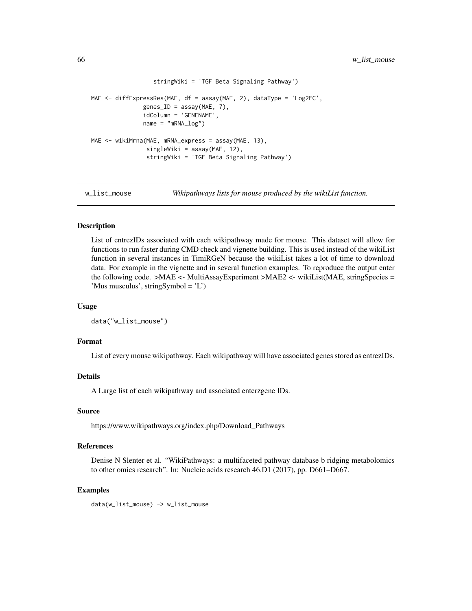```
stringWiki = 'TGF Beta Signaling Pathway')
MAE <- diffExpressRes(MAE, df = assay(MAE, 2), dataType = 'Log2FC',
               genes\_ID = assay(MAE, 7),idColumn = 'GENENAME',
               name = "mRNA_log")MAE <- wikiMrna(MAE, mRNA_express = assay(MAE, 13),
                singleWiki = assay(MAE, 12),
                stringWiki = 'TGF Beta Signaling Pathway')
```
w\_list\_mouse *Wikipathways lists for mouse produced by the wikiList function.*

#### Description

List of entrezIDs associated with each wikipathway made for mouse. This dataset will allow for functions to run faster during CMD check and vignette building. This is used instead of the wikiList function in several instances in TimiRGeN because the wikiList takes a lot of time to download data. For example in the vignette and in several function examples. To reproduce the output enter the following code. >MAE <- MultiAssayExperiment >MAE2 <- wikiList(MAE, stringSpecies = 'Mus musculus', stringSymbol = 'L')

#### Usage

```
data("w_list_mouse")
```
#### Format

List of every mouse wikipathway. Each wikipathway will have associated genes stored as entrezIDs.

#### Details

A Large list of each wikipathway and associated enterzgene IDs.

#### Source

https://www.wikipathways.org/index.php/Download\_Pathways

#### References

Denise N Slenter et al. "WikiPathways: a multifaceted pathway database b ridging metabolomics to other omics research". In: Nucleic acids research 46.D1 (2017), pp. D661–D667.

```
data(w_list_mouse) -> w_list_mouse
```